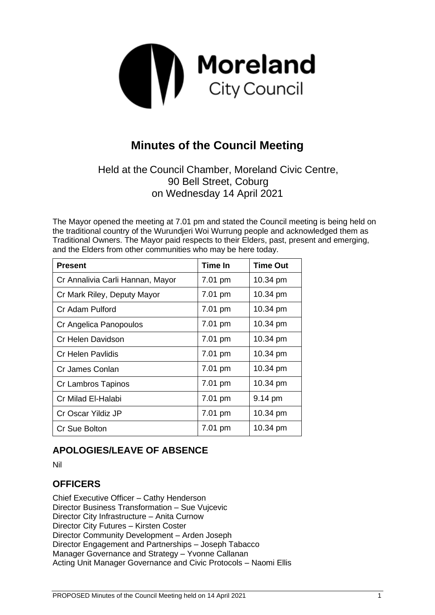

# **Minutes of the Council Meeting**

# Held at the Council Chamber, Moreland Civic Centre, 90 Bell Street, Coburg on Wednesday 14 April 2021

The Mayor opened the meeting at 7.01 pm and stated the Council meeting is being held on the traditional country of the Wurundjeri Woi Wurrung people and acknowledged them as Traditional Owners. The Mayor paid respects to their Elders, past, present and emerging, and the Elders from other communities who may be here today.

| <b>Present</b>                   | <b>Time In</b> | <b>Time Out</b> |
|----------------------------------|----------------|-----------------|
| Cr Annalivia Carli Hannan, Mayor | 7.01 pm        | 10.34 pm        |
| Cr Mark Riley, Deputy Mayor      | 7.01 pm        | 10.34 pm        |
| Cr Adam Pulford                  | 7.01 pm        | 10.34 pm        |
| Cr Angelica Panopoulos           | 7.01 pm        | 10.34 pm        |
| Cr Helen Davidson                | 7.01 pm        | 10.34 pm        |
| Cr Helen Pavlidis                | 7.01 pm        | 10.34 pm        |
| Cr James Conlan                  | 7.01 pm        | 10.34 pm        |
| Cr Lambros Tapinos               | 7.01 pm        | 10.34 pm        |
| Cr Milad El-Halabi               | 7.01 pm        | 9.14 pm         |
| Cr Oscar Yildiz JP               | 7.01 pm        | 10.34 pm        |
| Cr Sue Bolton                    | 7.01 pm        | 10.34 pm        |

# **APOLOGIES/LEAVE OF ABSENCE**

Nil

# **OFFICERS**

Chief Executive Officer – Cathy Henderson Director Business Transformation – Sue Vujcevic Director City Infrastructure – Anita Curnow Director City Futures – Kirsten Coster Director Community Development – Arden Joseph Director Engagement and Partnerships – Joseph Tabacco Manager Governance and Strategy – Yvonne Callanan Acting Unit Manager Governance and Civic Protocols – Naomi Ellis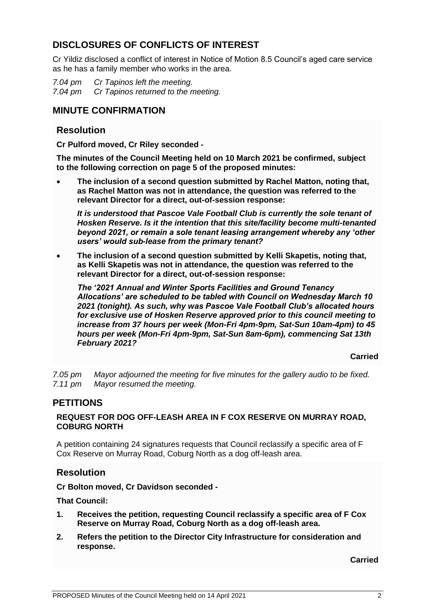# **DISCLOSURES OF CONFLICTS OF INTEREST**

Cr Yildiz disclosed a conflict of interest in Notice of Motion 8.5 Council's aged care service as he has a family member who works in the area.

*7.04 pm Cr Tapinos left the meeting. 7.04 pm Cr Tapinos returned to the meeting.*

## **MINUTE CONFIRMATION**

#### **Resolution**

**Cr Pulford moved, Cr Riley seconded -**

**The minutes of the Council Meeting held on 10 March 2021 be confirmed, subject to the following correction on page 5 of the proposed minutes:**

• **The inclusion of a second question submitted by Rachel Matton, noting that, as Rachel Matton was not in attendance, the question was referred to the relevant Director for a direct, out-of-session response:**

*It is understood that Pascoe Vale Football Club is currently the sole tenant of Hosken Reserve. Is it the intention that this site/facility become multi-tenanted beyond 2021, or remain a sole tenant leasing arrangement whereby any 'other users' would sub-lease from the primary tenant?*

• **The inclusion of a second question submitted by Kelli Skapetis, noting that, as Kelli Skapetis was not in attendance, the question was referred to the relevant Director for a direct, out-of-session response:**

*The '2021 Annual and Winter Sports Facilities and Ground Tenancy Allocations' are scheduled to be tabled with Council on Wednesday March 10 2021 (tonight). As such, why was Pascoe Vale Football Club's allocated hours for exclusive use of Hosken Reserve approved prior to this council meeting to increase from 37 hours per week (Mon-Fri 4pm-9pm, Sat-Sun 10am-4pm) to 45 hours per week (Mon-Fri 4pm-9pm, Sat-Sun 8am-6pm), commencing Sat 13th February 2021?*

**Carried**

*7.05 pm Mayor adjourned the meeting for five minutes for the gallery audio to be fixed. 7.11 pm Mayor resumed the meeting.*

# **PETITIONS**

#### **REQUEST FOR DOG OFF-LEASH AREA IN F COX RESERVE ON MURRAY ROAD, COBURG NORTH**

A petition containing 24 signatures requests that Council reclassify a specific area of F Cox Reserve on Murray Road, Coburg North as a dog off-leash area.

## **Resolution**

**Cr Bolton moved, Cr Davidson seconded -**

**That Council:**

- **1. Receives the petition, requesting Council reclassify a specific area of F Cox Reserve on Murray Road, Coburg North as a dog off-leash area.**
- **2. Refers the petition to the Director City Infrastructure for consideration and response.**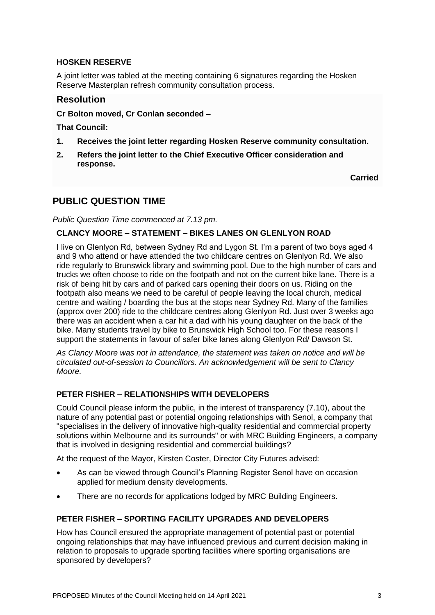#### **HOSKEN RESERVE**

A joint letter was tabled at the meeting containing 6 signatures regarding the Hosken Reserve Masterplan refresh community consultation process.

#### **Resolution**

#### **Cr Bolton moved, Cr Conlan seconded –**

**That Council:**

- **1. Receives the joint letter regarding Hosken Reserve community consultation.**
- **2. Refers the joint letter to the Chief Executive Officer consideration and response.**

**Carried**

# **PUBLIC QUESTION TIME**

*Public Question Time commenced at 7.13 pm.*

#### **CLANCY MOORE – STATEMENT – BIKES LANES ON GLENLYON ROAD**

I live on Glenlyon Rd, between Sydney Rd and Lygon St. I'm a parent of two boys aged 4 and 9 who attend or have attended the two childcare centres on Glenlyon Rd. We also ride regularly to Brunswick library and swimming pool. Due to the high number of cars and trucks we often choose to ride on the footpath and not on the current bike lane. There is a risk of being hit by cars and of parked cars opening their doors on us. Riding on the footpath also means we need to be careful of people leaving the local church, medical centre and waiting / boarding the bus at the stops near Sydney Rd. Many of the families (approx over 200) ride to the childcare centres along Glenlyon Rd. Just over 3 weeks ago there was an accident when a car hit a dad with his young daughter on the back of the bike. Many students travel by bike to Brunswick High School too. For these reasons I support the statements in favour of safer bike lanes along Glenlyon Rd/ Dawson St.

*As Clancy Moore was not in attendance, the statement was taken on notice and will be circulated out-of-session to Councillors. An acknowledgement will be sent to Clancy Moore.*

#### **PETER FISHER – RELATIONSHIPS WITH DEVELOPERS**

Could Council please inform the public, in the interest of transparency (7.10), about the nature of any potential past or potential ongoing relationships with Senol, a company that "specialises in the delivery of innovative high-quality residential and commercial property solutions within Melbourne and its surrounds" or with MRC Building Engineers, a company that is involved in designing residential and commercial buildings?

At the request of the Mayor, Kirsten Coster, Director City Futures advised:

- As can be viewed through Council's Planning Register Senol have on occasion applied for medium density developments.
- There are no records for applications lodged by MRC Building Engineers.

#### **PETER FISHER – SPORTING FACILITY UPGRADES AND DEVELOPERS**

How has Council ensured the appropriate management of potential past or potential ongoing relationships that may have influenced previous and current decision making in relation to proposals to upgrade sporting facilities where sporting organisations are sponsored by developers?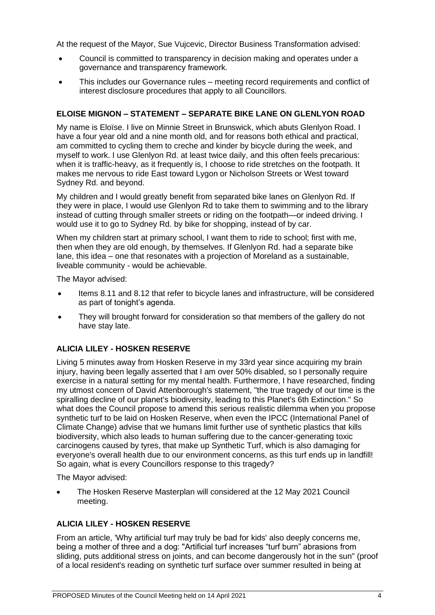At the request of the Mayor, Sue Vujcevic, Director Business Transformation advised:

- Council is committed to transparency in decision making and operates under a governance and transparency framework.
- This includes our Governance rules meeting record requirements and conflict of interest disclosure procedures that apply to all Councillors.

#### **ELOISE MIGNON – STATEMENT – SEPARATE BIKE LANE ON GLENLYON ROAD**

My name is Eloïse. I live on Minnie Street in Brunswick, which abuts Glenlyon Road. I have a four year old and a nine month old, and for reasons both ethical and practical, am committed to cycling them to creche and kinder by bicycle during the week, and myself to work. I use Glenlyon Rd. at least twice daily, and this often feels precarious: when it is traffic-heavy, as it frequently is, I choose to ride stretches on the footpath. It makes me nervous to ride East toward Lygon or Nicholson Streets or West toward Sydney Rd. and beyond.

My children and I would greatly benefit from separated bike lanes on Glenlyon Rd. If they were in place, I would use Glenlyon Rd to take them to swimming and to the library instead of cutting through smaller streets or riding on the footpath—or indeed driving. I would use it to go to Sydney Rd. by bike for shopping, instead of by car.

When my children start at primary school, I want them to ride to school; first with me, then when they are old enough, by themselves. If Glenlyon Rd. had a separate bike lane, this idea – one that resonates with a projection of Moreland as a sustainable, liveable community - would be achievable.

The Mayor advised:

- Items 8.11 and 8.12 that refer to bicycle lanes and infrastructure, will be considered as part of tonight's agenda.
- They will brought forward for consideration so that members of the gallery do not have stay late.

#### **ALICIA LILEY - HOSKEN RESERVE**

Living 5 minutes away from Hosken Reserve in my 33rd year since acquiring my brain injury, having been legally asserted that I am over 50% disabled, so I personally require exercise in a natural setting for my mental health. Furthermore, I have researched, finding my utmost concern of David Attenborough's statement, "the true tragedy of our time is the spiralling decline of our planet's biodiversity, leading to this Planet's 6th Extinction." So what does the Council propose to amend this serious realistic dilemma when you propose synthetic turf to be laid on Hosken Reserve, when even the IPCC (International Panel of Climate Change) advise that we humans limit further use of synthetic plastics that kills biodiversity, which also leads to human suffering due to the cancer-generating toxic carcinogens caused by tyres, that make up Synthetic Turf, which is also damaging for everyone's overall health due to our environment concerns, as this turf ends up in landfill! So again, what is every Councillors response to this tragedy?

The Mayor advised:

• The Hosken Reserve Masterplan will considered at the 12 May 2021 Council meeting.

#### **ALICIA LILEY - HOSKEN RESERVE**

From an article, 'Why artificial turf may truly be bad for kids' also deeply concerns me, being a mother of three and a dog: "Artificial turf increases "turf burn" abrasions from sliding, puts additional stress on joints, and can become dangerously hot in the sun" (proof of a local resident's reading on synthetic turf surface over summer resulted in being at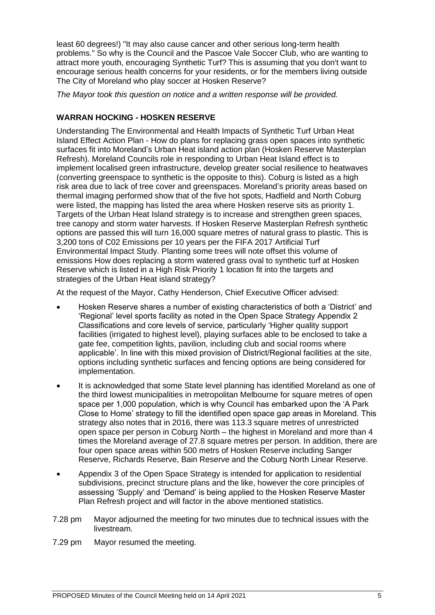least 60 degrees!) "It may also cause cancer and other serious long-term health problems." So why is the Council and the Pascoe Vale Soccer Club, who are wanting to attract more youth, encouraging Synthetic Turf? This is assuming that you don't want to encourage serious health concerns for your residents, or for the members living outside The City of Moreland who play soccer at Hosken Reserve?

*The Mayor took this question on notice and a written response will be provided.*

#### **WARRAN HOCKING - HOSKEN RESERVE**

Understanding The Environmental and Health Impacts of Synthetic Turf Urban Heat Island Effect Action Plan - How do plans for replacing grass open spaces into synthetic surfaces fit into Moreland's Urban Heat island action plan (Hosken Reserve Masterplan Refresh). Moreland Councils role in responding to Urban Heat Island effect is to implement localised green infrastructure, develop greater social resilience to heatwaves (converting greenspace to synthetic is the opposite to this). Coburg is listed as a high risk area due to lack of tree cover and greenspaces. Moreland's priority areas based on thermal imaging performed show that of the five hot spots, Hadfield and North Coburg were listed, the mapping has listed the area where Hosken reserve sits as priority 1. Targets of the Urban Heat Island strategy is to increase and strengthen green spaces, tree canopy and storm water harvests. If Hosken Reserve Masterplan Refresh synthetic options are passed this will turn 16,000 square metres of natural grass to plastic. This is 3,200 tons of C02 Emissions per 10 years per the FIFA 2017 Artificial Turf Environmental Impact Study. Planting some trees will note offset this volume of emissions How does replacing a storm watered grass oval to synthetic turf at Hosken Reserve which is listed in a High Risk Priority 1 location fit into the targets and strategies of the Urban Heat island strategy?

At the request of the Mayor, Cathy Henderson, Chief Executive Officer advised:

- Hosken Reserve shares a number of existing characteristics of both a 'District' and 'Regional' level sports facility as noted in the Open Space Strategy Appendix 2 Classifications and core levels of service, particularly 'Higher quality support facilities (irrigated to highest level), playing surfaces able to be enclosed to take a gate fee, competition lights, pavilion, including club and social rooms where applicable'. In line with this mixed provision of District/Regional facilities at the site, options including synthetic surfaces and fencing options are being considered for implementation.
- It is acknowledged that some State level planning has identified Moreland as one of the third lowest municipalities in metropolitan Melbourne for square metres of open space per 1,000 population, which is why Council has embarked upon the 'A Park Close to Home' strategy to fill the identified open space gap areas in Moreland. This strategy also notes that in 2016, there was 113.3 square metres of unrestricted open space per person in Coburg North – the highest in Moreland and more than 4 times the Moreland average of 27.8 square metres per person. In addition, there are four open space areas within 500 metrs of Hosken Reserve including Sanger Reserve, Richards Reserve, Bain Reserve and the Coburg North Linear Reserve.
- Appendix 3 of the Open Space Strategy is intended for application to residential subdivisions, precinct structure plans and the like, however the core principles of assessing 'Supply' and 'Demand' is being applied to the Hosken Reserve Master Plan Refresh project and will factor in the above mentioned statistics.
- 7.28 pm Mayor adjourned the meeting for two minutes due to technical issues with the livestream.
- 7.29 pm Mayor resumed the meeting.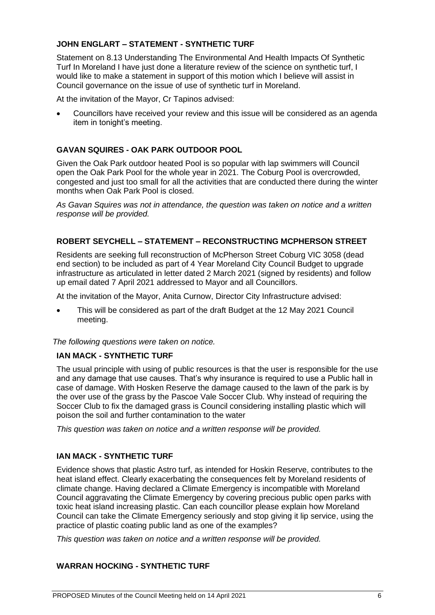#### **JOHN ENGLART – STATEMENT - SYNTHETIC TURF**

Statement on 8.13 Understanding The Environmental And Health Impacts Of Synthetic Turf In Moreland I have just done a literature review of the science on synthetic turf, I would like to make a statement in support of this motion which I believe will assist in Council governance on the issue of use of synthetic turf in Moreland.

At the invitation of the Mayor, Cr Tapinos advised:

• Councillors have received your review and this issue will be considered as an agenda item in tonight's meeting.

#### **GAVAN SQUIRES - OAK PARK OUTDOOR POOL**

Given the Oak Park outdoor heated Pool is so popular with lap swimmers will Council open the Oak Park Pool for the whole year in 2021. The Coburg Pool is overcrowded, congested and just too small for all the activities that are conducted there during the winter months when Oak Park Pool is closed.

*As Gavan Squires was not in attendance, the question was taken on notice and a written response will be provided.*

#### **ROBERT SEYCHELL – STATEMENT – RECONSTRUCTING MCPHERSON STREET**

Residents are seeking full reconstruction of McPherson Street Coburg VIC 3058 (dead end section) to be included as part of 4 Year Moreland City Council Budget to upgrade infrastructure as articulated in letter dated 2 March 2021 (signed by residents) and follow up email dated 7 April 2021 addressed to Mayor and all Councillors.

At the invitation of the Mayor, Anita Curnow, Director City Infrastructure advised:

• This will be considered as part of the draft Budget at the 12 May 2021 Council meeting.

*The following questions were taken on notice.*

#### **IAN MACK - SYNTHETIC TURF**

The usual principle with using of public resources is that the user is responsible for the use and any damage that use causes. That's why insurance is required to use a Public hall in case of damage. With Hosken Reserve the damage caused to the lawn of the park is by the over use of the grass by the Pascoe Vale Soccer Club. Why instead of requiring the Soccer Club to fix the damaged grass is Council considering installing plastic which will poison the soil and further contamination to the water

*This question was taken on notice and a written response will be provided.*

#### **IAN MACK - SYNTHETIC TURF**

Evidence shows that plastic Astro turf, as intended for Hoskin Reserve, contributes to the heat island effect. Clearly exacerbating the consequences felt by Moreland residents of climate change. Having declared a Climate Emergency is incompatible with Moreland Council aggravating the Climate Emergency by covering precious public open parks with toxic heat island increasing plastic. Can each councillor please explain how Moreland Council can take the Climate Emergency seriously and stop giving it lip service, using the practice of plastic coating public land as one of the examples?

*This question was taken on notice and a written response will be provided.*

#### **WARRAN HOCKING - SYNTHETIC TURF**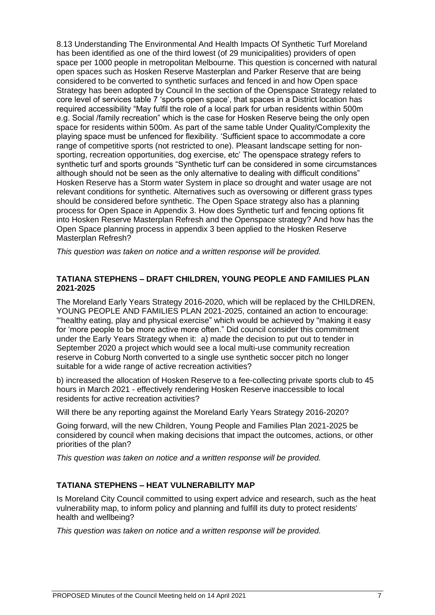8.13 Understanding The Environmental And Health Impacts Of Synthetic Turf Moreland has been identified as one of the third lowest (of 29 municipalities) providers of open space per 1000 people in metropolitan Melbourne. This question is concerned with natural open spaces such as Hosken Reserve Masterplan and Parker Reserve that are being considered to be converted to synthetic surfaces and fenced in and how Open space Strategy has been adopted by Council In the section of the Openspace Strategy related to core level of services table 7 'sports open space', that spaces in a District location has required accessibility "May fulfil the role of a local park for urban residents within 500m e.g. Social /family recreation" which is the case for Hosken Reserve being the only open space for residents within 500m. As part of the same table Under Quality/Complexity the playing space must be unfenced for flexibility. 'Sufficient space to accommodate a core range of competitive sports (not restricted to one). Pleasant landscape setting for nonsporting, recreation opportunities, dog exercise, etc' The openspace strategy refers to synthetic turf and sports grounds "Synthetic turf can be considered in some circumstances although should not be seen as the only alternative to dealing with difficult conditions" Hosken Reserve has a Storm water System in place so drought and water usage are not relevant conditions for synthetic. Alternatives such as oversowing or different grass types should be considered before synthetic. The Open Space strategy also has a planning process for Open Space in Appendix 3. How does Synthetic turf and fencing options fit into Hosken Reserve Masterplan Refresh and the Openspace strategy? And how has the Open Space planning process in appendix 3 been applied to the Hosken Reserve Masterplan Refresh?

*This question was taken on notice and a written response will be provided.*

#### **TATIANA STEPHENS – DRAFT CHILDREN, YOUNG PEOPLE AND FAMILIES PLAN 2021-2025**

The Moreland Early Years Strategy 2016-2020, which will be replaced by the CHILDREN, YOUNG PEOPLE AND FAMILIES PLAN 2021-2025, contained an action to encourage: "'healthy eating, play and physical exercise" which would be achieved by "making it easy for 'more people to be more active more often." Did council consider this commitment under the Early Years Strategy when it: a) made the decision to put out to tender in September 2020 a project which would see a local multi-use community recreation reserve in Coburg North converted to a single use synthetic soccer pitch no longer suitable for a wide range of active recreation activities?

b) increased the allocation of Hosken Reserve to a fee-collecting private sports club to 45 hours in March 2021 - effectively rendering Hosken Reserve inaccessible to local residents for active recreation activities?

Will there be any reporting against the Moreland Early Years Strategy 2016-2020?

Going forward, will the new Children, Young People and Families Plan 2021-2025 be considered by council when making decisions that impact the outcomes, actions, or other priorities of the plan?

*This question was taken on notice and a written response will be provided.*

#### **TATIANA STEPHENS – HEAT VULNERABILITY MAP**

Is Moreland City Council committed to using expert advice and research, such as the heat vulnerability map, to inform policy and planning and fulfill its duty to protect residents' health and wellbeing?

*This question was taken on notice and a written response will be provided.*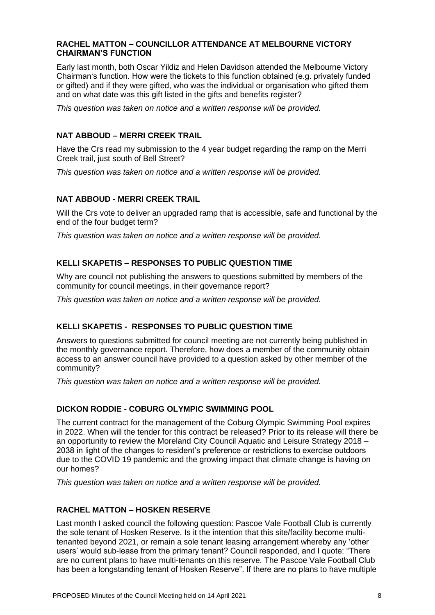#### **RACHEL MATTON – COUNCILLOR ATTENDANCE AT MELBOURNE VICTORY CHAIRMAN'S FUNCTION**

Early last month, both Oscar Yildiz and Helen Davidson attended the Melbourne Victory Chairman's function. How were the tickets to this function obtained (e.g. privately funded or gifted) and if they were gifted, who was the individual or organisation who gifted them and on what date was this gift listed in the gifts and benefits register?

*This question was taken on notice and a written response will be provided.*

#### **NAT ABBOUD – MERRI CREEK TRAIL**

Have the Crs read my submission to the 4 year budget regarding the ramp on the Merri Creek trail, just south of Bell Street?

*This question was taken on notice and a written response will be provided.*

#### **NAT ABBOUD - MERRI CREEK TRAIL**

Will the Crs vote to deliver an upgraded ramp that is accessible, safe and functional by the end of the four budget term?

*This question was taken on notice and a written response will be provided.*

#### **KELLI SKAPETIS – RESPONSES TO PUBLIC QUESTION TIME**

Why are council not publishing the answers to questions submitted by members of the community for council meetings, in their governance report?

*This question was taken on notice and a written response will be provided.*

#### **KELLI SKAPETIS - RESPONSES TO PUBLIC QUESTION TIME**

Answers to questions submitted for council meeting are not currently being published in the monthly governance report. Therefore, how does a member of the community obtain access to an answer council have provided to a question asked by other member of the community?

*This question was taken on notice and a written response will be provided.*

#### **DICKON RODDIE - COBURG OLYMPIC SWIMMING POOL**

The current contract for the management of the Coburg Olympic Swimming Pool expires in 2022. When will the tender for this contract be released? Prior to its release will there be an opportunity to review the Moreland City Council Aquatic and Leisure Strategy 2018 – 2038 in light of the changes to resident's preference or restrictions to exercise outdoors due to the COVID 19 pandemic and the growing impact that climate change is having on our homes?

*This question was taken on notice and a written response will be provided.*

#### **RACHEL MATTON – HOSKEN RESERVE**

Last month I asked council the following question: Pascoe Vale Football Club is currently the sole tenant of Hosken Reserve. Is it the intention that this site/facility become multitenanted beyond 2021, or remain a sole tenant leasing arrangement whereby any 'other users' would sub-lease from the primary tenant? Council responded, and I quote: "There are no current plans to have multi-tenants on this reserve. The Pascoe Vale Football Club has been a longstanding tenant of Hosken Reserve". If there are no plans to have multiple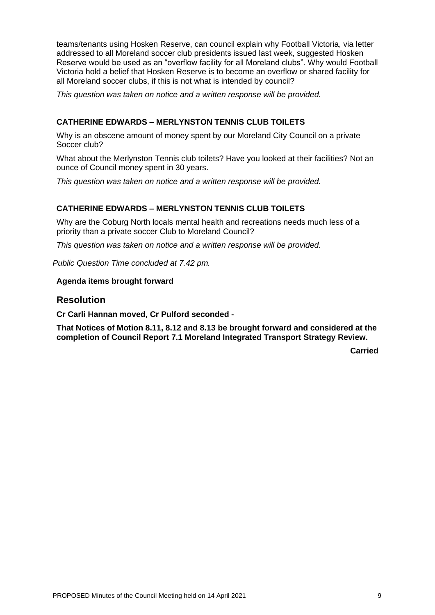teams/tenants using Hosken Reserve, can council explain why Football Victoria, via letter addressed to all Moreland soccer club presidents issued last week, suggested Hosken Reserve would be used as an "overflow facility for all Moreland clubs". Why would Football Victoria hold a belief that Hosken Reserve is to become an overflow or shared facility for all Moreland soccer clubs, if this is not what is intended by council?

*This question was taken on notice and a written response will be provided.*

#### **CATHERINE EDWARDS – MERLYNSTON TENNIS CLUB TOILETS**

Why is an obscene amount of money spent by our Moreland City Council on a private Soccer club?

What about the Merlynston Tennis club toilets? Have you looked at their facilities? Not an ounce of Council money spent in 30 years.

*This question was taken on notice and a written response will be provided.*

#### **CATHERINE EDWARDS – MERLYNSTON TENNIS CLUB TOILETS**

Why are the Coburg North locals mental health and recreations needs much less of a priority than a private soccer Club to Moreland Council?

*This question was taken on notice and a written response will be provided.*

*Public Question Time concluded at 7.42 pm.*

#### **Agenda items brought forward**

#### **Resolution**

**Cr Carli Hannan moved, Cr Pulford seconded -**

**That Notices of Motion 8.11, 8.12 and 8.13 be brought forward and considered at the completion of Council Report 7.1 Moreland Integrated Transport Strategy Review.**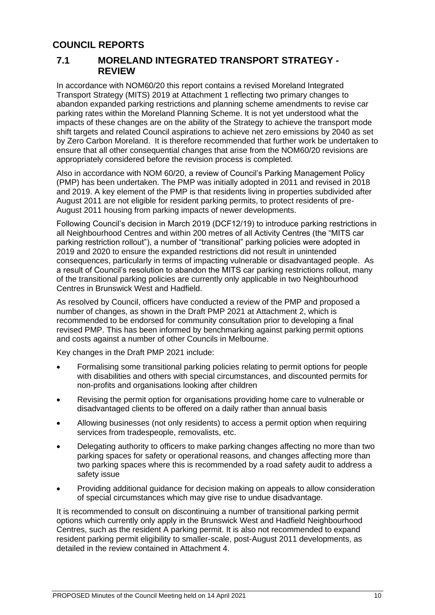# **COUNCIL REPORTS**

#### **7.1 MORELAND INTEGRATED TRANSPORT STRATEGY - REVIEW**

In accordance with NOM60/20 this report contains a revised Moreland Integrated Transport Strategy (MITS) 2019 at Attachment 1 reflecting two primary changes to abandon expanded parking restrictions and planning scheme amendments to revise car parking rates within the Moreland Planning Scheme. It is not yet understood what the impacts of these changes are on the ability of the Strategy to achieve the transport mode shift targets and related Council aspirations to achieve net zero emissions by 2040 as set by Zero Carbon Moreland. It is therefore recommended that further work be undertaken to ensure that all other consequential changes that arise from the NOM60/20 revisions are appropriately considered before the revision process is completed.

Also in accordance with NOM 60/20, a review of Council's Parking Management Policy (PMP) has been undertaken. The PMP was initially adopted in 2011 and revised in 2018 and 2019. A key element of the PMP is that residents living in properties subdivided after August 2011 are not eligible for resident parking permits, to protect residents of pre-August 2011 housing from parking impacts of newer developments.

Following Council's decision in March 2019 (DCF12/19) to introduce parking restrictions in all Neighbourhood Centres and within 200 metres of all Activity Centres (the "MITS car parking restriction rollout"), a number of "transitional" parking policies were adopted in 2019 and 2020 to ensure the expanded restrictions did not result in unintended consequences, particularly in terms of impacting vulnerable or disadvantaged people. As a result of Council's resolution to abandon the MITS car parking restrictions rollout, many of the transitional parking policies are currently only applicable in two Neighbourhood Centres in Brunswick West and Hadfield.

As resolved by Council, officers have conducted a review of the PMP and proposed a number of changes, as shown in the Draft PMP 2021 at Attachment 2, which is recommended to be endorsed for community consultation prior to developing a final revised PMP. This has been informed by benchmarking against parking permit options and costs against a number of other Councils in Melbourne.

Key changes in the Draft PMP 2021 include:

- Formalising some transitional parking policies relating to permit options for people with disabilities and others with special circumstances, and discounted permits for non-profits and organisations looking after children
- Revising the permit option for organisations providing home care to vulnerable or disadvantaged clients to be offered on a daily rather than annual basis
- Allowing businesses (not only residents) to access a permit option when requiring services from tradespeople, removalists, etc.
- Delegating authority to officers to make parking changes affecting no more than two parking spaces for safety or operational reasons, and changes affecting more than two parking spaces where this is recommended by a road safety audit to address a safety issue
- Providing additional guidance for decision making on appeals to allow consideration of special circumstances which may give rise to undue disadvantage.

It is recommended to consult on discontinuing a number of transitional parking permit options which currently only apply in the Brunswick West and Hadfield Neighbourhood Centres, such as the resident A parking permit. It is also not recommended to expand resident parking permit eligibility to smaller-scale, post-August 2011 developments, as detailed in the review contained in Attachment 4.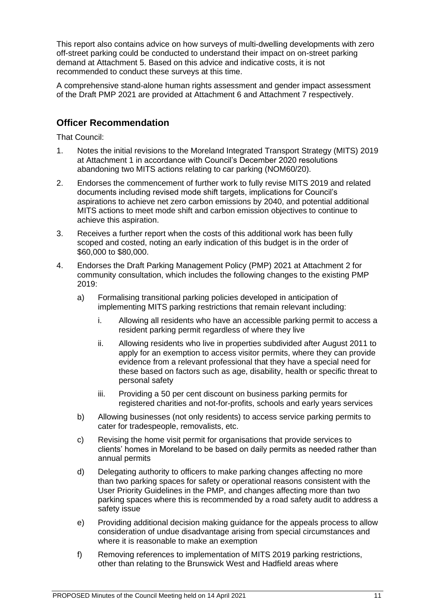This report also contains advice on how surveys of multi-dwelling developments with zero off-street parking could be conducted to understand their impact on on-street parking demand at Attachment 5. Based on this advice and indicative costs, it is not recommended to conduct these surveys at this time.

A comprehensive stand-alone human rights assessment and gender impact assessment of the Draft PMP 2021 are provided at Attachment 6 and Attachment 7 respectively.

# **Officer Recommendation**

That Council:

- 1. Notes the initial revisions to the Moreland Integrated Transport Strategy (MITS) 2019 at Attachment 1 in accordance with Council's December 2020 resolutions abandoning two MITS actions relating to car parking (NOM60/20).
- 2. Endorses the commencement of further work to fully revise MITS 2019 and related documents including revised mode shift targets, implications for Council's aspirations to achieve net zero carbon emissions by 2040, and potential additional MITS actions to meet mode shift and carbon emission objectives to continue to achieve this aspiration.
- 3. Receives a further report when the costs of this additional work has been fully scoped and costed, noting an early indication of this budget is in the order of \$60,000 to \$80,000.
- 4. Endorses the Draft Parking Management Policy (PMP) 2021 at Attachment 2 for community consultation, which includes the following changes to the existing PMP 2019:
	- a) Formalising transitional parking policies developed in anticipation of implementing MITS parking restrictions that remain relevant including:
		- i. Allowing all residents who have an accessible parking permit to access a resident parking permit regardless of where they live
		- ii. Allowing residents who live in properties subdivided after August 2011 to apply for an exemption to access visitor permits, where they can provide evidence from a relevant professional that they have a special need for these based on factors such as age, disability, health or specific threat to personal safety
		- iii. Providing a 50 per cent discount on business parking permits for registered charities and not-for-profits, schools and early years services
	- b) Allowing businesses (not only residents) to access service parking permits to cater for tradespeople, removalists, etc.
	- c) Revising the home visit permit for organisations that provide services to clients' homes in Moreland to be based on daily permits as needed rather than annual permits
	- d) Delegating authority to officers to make parking changes affecting no more than two parking spaces for safety or operational reasons consistent with the User Priority Guidelines in the PMP, and changes affecting more than two parking spaces where this is recommended by a road safety audit to address a safety issue
	- e) Providing additional decision making guidance for the appeals process to allow consideration of undue disadvantage arising from special circumstances and where it is reasonable to make an exemption
	- f) Removing references to implementation of MITS 2019 parking restrictions, other than relating to the Brunswick West and Hadfield areas where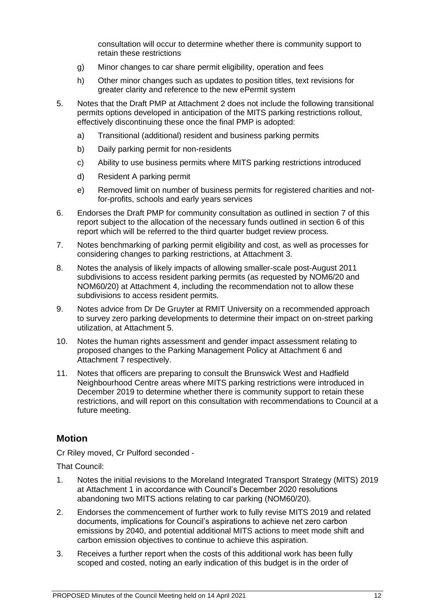consultation will occur to determine whether there is community support to retain these restrictions

- g) Minor changes to car share permit eligibility, operation and fees
- h) Other minor changes such as updates to position titles, text revisions for greater clarity and reference to the new ePermit system
- 5. Notes that the Draft PMP at Attachment 2 does not include the following transitional permits options developed in anticipation of the MITS parking restrictions rollout, effectively discontinuing these once the final PMP is adopted:
	- a) Transitional (additional) resident and business parking permits
	- b) Daily parking permit for non-residents
	- c) Ability to use business permits where MITS parking restrictions introduced
	- d) Resident A parking permit
	- e) Removed limit on number of business permits for registered charities and notfor-profits, schools and early years services
- 6. Endorses the Draft PMP for community consultation as outlined in section 7 of this report subject to the allocation of the necessary funds outlined in section 6 of this report which will be referred to the third quarter budget review process.
- 7. Notes benchmarking of parking permit eligibility and cost, as well as processes for considering changes to parking restrictions, at Attachment 3.
- 8. Notes the analysis of likely impacts of allowing smaller-scale post-August 2011 subdivisions to access resident parking permits (as requested by NOM6/20 and NOM60/20) at Attachment 4, including the recommendation not to allow these subdivisions to access resident permits.
- 9. Notes advice from Dr De Gruyter at RMIT University on a recommended approach to survey zero parking developments to determine their impact on on-street parking utilization, at Attachment 5.
- 10. Notes the human rights assessment and gender impact assessment relating to proposed changes to the Parking Management Policy at Attachment 6 and Attachment 7 respectively.
- 11. Notes that officers are preparing to consult the Brunswick West and Hadfield Neighbourhood Centre areas where MITS parking restrictions were introduced in December 2019 to determine whether there is community support to retain these restrictions, and will report on this consultation with recommendations to Council at a future meeting.

#### **Motion**

Cr Riley moved, Cr Pulford seconded -

That Council:

- 1. Notes the initial revisions to the Moreland Integrated Transport Strategy (MITS) 2019 at Attachment 1 in accordance with Council's December 2020 resolutions abandoning two MITS actions relating to car parking (NOM60/20).
- 2. Endorses the commencement of further work to fully revise MITS 2019 and related documents, implications for Council's aspirations to achieve net zero carbon emissions by 2040, and potential additional MITS actions to meet mode shift and carbon emission objectives to continue to achieve this aspiration.
- 3. Receives a further report when the costs of this additional work has been fully scoped and costed, noting an early indication of this budget is in the order of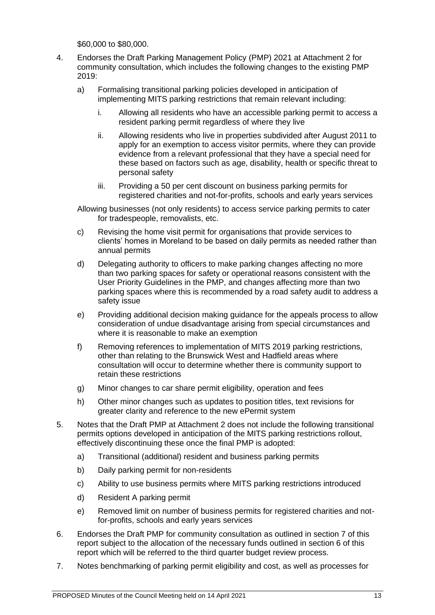\$60,000 to \$80,000.

- 4. Endorses the Draft Parking Management Policy (PMP) 2021 at Attachment 2 for community consultation, which includes the following changes to the existing PMP 2019:
	- a) Formalising transitional parking policies developed in anticipation of implementing MITS parking restrictions that remain relevant including:
		- i. Allowing all residents who have an accessible parking permit to access a resident parking permit regardless of where they live
		- ii. Allowing residents who live in properties subdivided after August 2011 to apply for an exemption to access visitor permits, where they can provide evidence from a relevant professional that they have a special need for these based on factors such as age, disability, health or specific threat to personal safety
		- iii. Providing a 50 per cent discount on business parking permits for registered charities and not-for-profits, schools and early years services

Allowing businesses (not only residents) to access service parking permits to cater for tradespeople, removalists, etc.

- c) Revising the home visit permit for organisations that provide services to clients' homes in Moreland to be based on daily permits as needed rather than annual permits
- d) Delegating authority to officers to make parking changes affecting no more than two parking spaces for safety or operational reasons consistent with the User Priority Guidelines in the PMP, and changes affecting more than two parking spaces where this is recommended by a road safety audit to address a safety issue
- e) Providing additional decision making guidance for the appeals process to allow consideration of undue disadvantage arising from special circumstances and where it is reasonable to make an exemption
- f) Removing references to implementation of MITS 2019 parking restrictions, other than relating to the Brunswick West and Hadfield areas where consultation will occur to determine whether there is community support to retain these restrictions
- g) Minor changes to car share permit eligibility, operation and fees
- h) Other minor changes such as updates to position titles, text revisions for greater clarity and reference to the new ePermit system
- 5. Notes that the Draft PMP at Attachment 2 does not include the following transitional permits options developed in anticipation of the MITS parking restrictions rollout, effectively discontinuing these once the final PMP is adopted:
	- a) Transitional (additional) resident and business parking permits
	- b) Daily parking permit for non-residents
	- c) Ability to use business permits where MITS parking restrictions introduced
	- d) Resident A parking permit
	- e) Removed limit on number of business permits for registered charities and notfor-profits, schools and early years services
- 6. Endorses the Draft PMP for community consultation as outlined in section 7 of this report subject to the allocation of the necessary funds outlined in section 6 of this report which will be referred to the third quarter budget review process.
- 7. Notes benchmarking of parking permit eligibility and cost, as well as processes for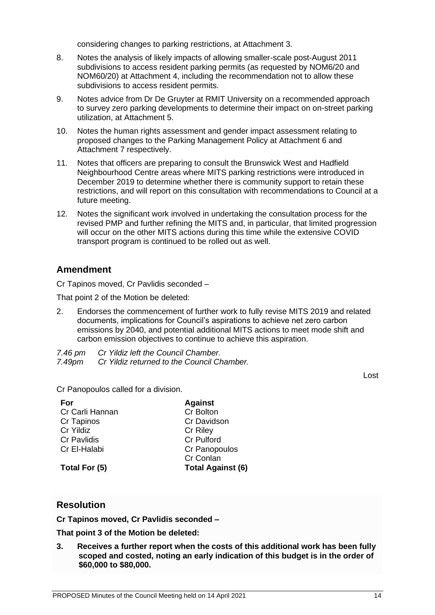considering changes to parking restrictions, at Attachment 3.

- 8. Notes the analysis of likely impacts of allowing smaller-scale post-August 2011 subdivisions to access resident parking permits (as requested by NOM6/20 and NOM60/20) at Attachment 4, including the recommendation not to allow these subdivisions to access resident permits.
- 9. Notes advice from Dr De Gruyter at RMIT University on a recommended approach to survey zero parking developments to determine their impact on on-street parking utilization, at Attachment 5.
- 10. Notes the human rights assessment and gender impact assessment relating to proposed changes to the Parking Management Policy at Attachment 6 and Attachment 7 respectively.
- 11. Notes that officers are preparing to consult the Brunswick West and Hadfield Neighbourhood Centre areas where MITS parking restrictions were introduced in December 2019 to determine whether there is community support to retain these restrictions, and will report on this consultation with recommendations to Council at a future meeting.
- 12. Notes the significant work involved in undertaking the consultation process for the revised PMP and further refining the MITS and, in particular, that limited progression will occur on the other MITS actions during this time while the extensive COVID transport program is continued to be rolled out as well.

## **Amendment**

Cr Tapinos moved, Cr Pavlidis seconded –

That point 2 of the Motion be deleted:

2. Endorses the commencement of further work to fully revise MITS 2019 and related documents, implications for Council's aspirations to achieve net zero carbon emissions by 2040, and potential additional MITS actions to meet mode shift and carbon emission objectives to continue to achieve this aspiration.

*7.46 pm Cr Yildiz left the Council Chamber. 7.49pm Cr Yildiz returned to the Council Chamber.*

Lost

Cr Panopoulos called for a division.

| <b>Against</b>           |
|--------------------------|
| Cr Bolton                |
| Cr Davidson              |
| <b>Cr Riley</b>          |
| Cr Pulford               |
| Cr Panopoulos            |
| Cr Conlan                |
| <b>Total Against (6)</b> |
|                          |

#### **Resolution**

**Cr Tapinos moved, Cr Pavlidis seconded –**

**That point 3 of the Motion be deleted:**

**3. Receives a further report when the costs of this additional work has been fully scoped and costed, noting an early indication of this budget is in the order of \$60,000 to \$80,000.**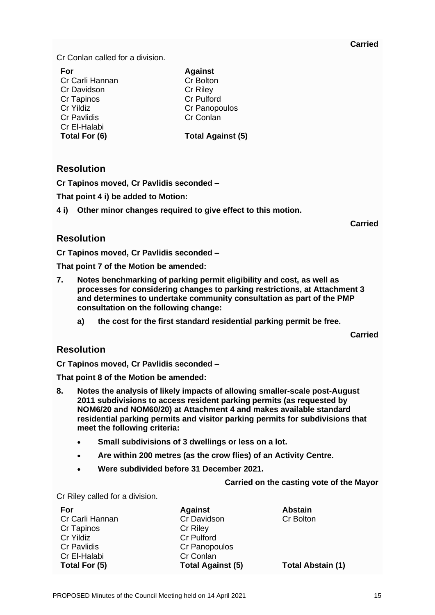#### **Carried**

Cr Conlan called for a division.

| For                | <b>Against</b>           |
|--------------------|--------------------------|
| Cr Carli Hannan    | Cr Bolton                |
| Cr Davidson        | <b>Cr Riley</b>          |
| Cr Tapinos         | <b>Cr Pulford</b>        |
| Cr Yildiz          | Cr Panopoulos            |
| <b>Cr Pavlidis</b> | Cr Conlan                |
| Cr El-Halabi       |                          |
| Total For (6)      | <b>Total Against (5)</b> |
|                    |                          |

## **Resolution**

**Cr Tapinos moved, Cr Pavlidis seconded –**

**That point 4 i) be added to Motion:**

**4 i) Other minor changes required to give effect to this motion.**

**Carried**

# **Resolution**

**Cr Tapinos moved, Cr Pavlidis seconded –**

**That point 7 of the Motion be amended:**

- **7. Notes benchmarking of parking permit eligibility and cost, as well as processes for considering changes to parking restrictions, at Attachment 3 and determines to undertake community consultation as part of the PMP consultation on the following change:**
	- **a) the cost for the first standard residential parking permit be free.**

**Carried**

## **Resolution**

**Cr Tapinos moved, Cr Pavlidis seconded –**

**That point 8 of the Motion be amended:**

- **8. Notes the analysis of likely impacts of allowing smaller-scale post-August 2011 subdivisions to access resident parking permits (as requested by NOM6/20 and NOM60/20) at Attachment 4 and makes available standard residential parking permits and visitor parking permits for subdivisions that meet the following criteria:**
	- **Small subdivisions of 3 dwellings or less on a lot.**
	- **Are within 200 metres (as the crow flies) of an Activity Centre.**
	- **Were subdivided before 31 December 2021.**

#### **Carried on the casting vote of the Mayor**

Cr Riley called for a division.

| For                | <b>Against</b>           | <b>Abstain</b>           |
|--------------------|--------------------------|--------------------------|
| Cr Carli Hannan    | Cr Davidson              | <b>Cr Bolton</b>         |
| Cr Tapinos         | Cr Riley                 |                          |
| Cr Yildiz          | <b>Cr Pulford</b>        |                          |
| <b>Cr Pavlidis</b> | Cr Panopoulos            |                          |
| Cr El-Halabi       | Cr Conlan                |                          |
| Total For (5)      | <b>Total Against (5)</b> | <b>Total Abstain (1)</b> |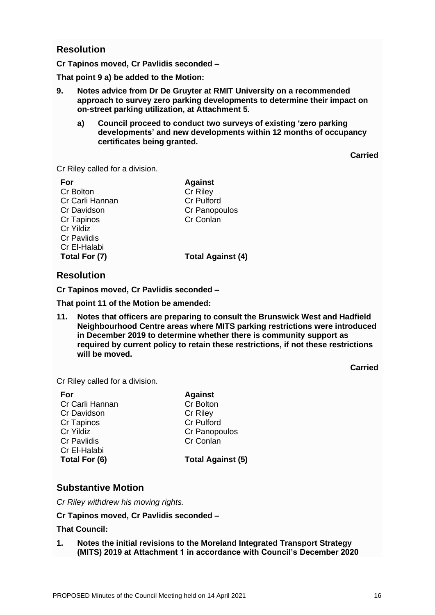#### **Resolution**

**Cr Tapinos moved, Cr Pavlidis seconded –**

**That point 9 a) be added to the Motion:**

- **9. Notes advice from Dr De Gruyter at RMIT University on a recommended approach to survey zero parking developments to determine their impact on on-street parking utilization, at Attachment 5.**
	- **a) Council proceed to conduct two surveys of existing 'zero parking developments' and new developments within 12 months of occupancy certificates being granted.**

**Carried**

Cr Riley called for a division.

| For                | <b>Against</b>           |
|--------------------|--------------------------|
| Cr Bolton          | Cr Riley                 |
| Cr Carli Hannan    | <b>Cr Pulford</b>        |
| Cr Davidson        | Cr Panopoulos            |
| Cr Tapinos         | Cr Conlan                |
| Cr Yildiz          |                          |
| <b>Cr Pavlidis</b> |                          |
| Cr El-Halabi       |                          |
| Total For (7)      | <b>Total Against (4)</b> |
|                    |                          |

## **Resolution**

**Cr Tapinos moved, Cr Pavlidis seconded –**

**That point 11 of the Motion be amended:**

**11. Notes that officers are preparing to consult the Brunswick West and Hadfield Neighbourhood Centre areas where MITS parking restrictions were introduced in December 2019 to determine whether there is community support as required by current policy to retain these restrictions, if not these restrictions will be moved.**

**Carried**

Cr Riley called for a division.

| For                | <b>Against</b>           |
|--------------------|--------------------------|
| Cr Carli Hannan    | Cr Bolton                |
| Cr Davidson        | Cr Riley                 |
| <b>Cr Tapinos</b>  | <b>Cr Pulford</b>        |
| Cr Yildiz          | Cr Panopoulos            |
| <b>Cr Pavlidis</b> | Cr Conlan                |
| Cr El-Halabi       |                          |
| Total For (6)      | <b>Total Against (5)</b> |
|                    |                          |

#### **Substantive Motion**

*Cr Riley withdrew his moving rights.*

#### **Cr Tapinos moved, Cr Pavlidis seconded –**

#### **That Council:**

**1. Notes the initial revisions to the Moreland Integrated Transport Strategy (MITS) 2019 at Attachment 1 in accordance with Council's December 2020**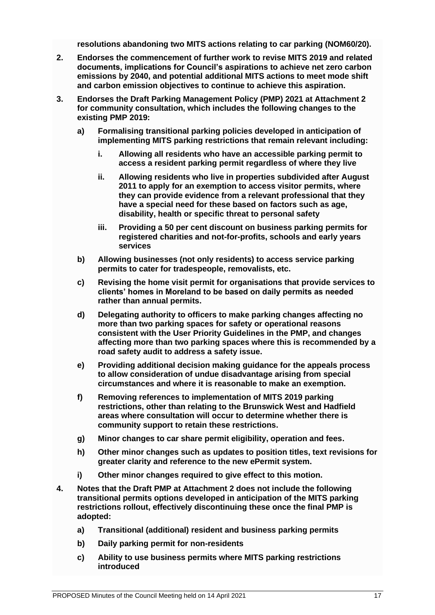**resolutions abandoning two MITS actions relating to car parking (NOM60/20).**

- **2. Endorses the commencement of further work to revise MITS 2019 and related documents, implications for Council's aspirations to achieve net zero carbon emissions by 2040, and potential additional MITS actions to meet mode shift and carbon emission objectives to continue to achieve this aspiration.**
- **3. Endorses the Draft Parking Management Policy (PMP) 2021 at Attachment 2 for community consultation, which includes the following changes to the existing PMP 2019:**
	- **a) Formalising transitional parking policies developed in anticipation of implementing MITS parking restrictions that remain relevant including:**
		- **i. Allowing all residents who have an accessible parking permit to access a resident parking permit regardless of where they live**
		- **ii. Allowing residents who live in properties subdivided after August 2011 to apply for an exemption to access visitor permits, where they can provide evidence from a relevant professional that they have a special need for these based on factors such as age, disability, health or specific threat to personal safety**
		- **iii. Providing a 50 per cent discount on business parking permits for registered charities and not-for-profits, schools and early years services**
	- **b) Allowing businesses (not only residents) to access service parking permits to cater for tradespeople, removalists, etc.**
	- **c) Revising the home visit permit for organisations that provide services to clients' homes in Moreland to be based on daily permits as needed rather than annual permits.**
	- **d) Delegating authority to officers to make parking changes affecting no more than two parking spaces for safety or operational reasons consistent with the User Priority Guidelines in the PMP, and changes affecting more than two parking spaces where this is recommended by a road safety audit to address a safety issue.**
	- **e) Providing additional decision making guidance for the appeals process to allow consideration of undue disadvantage arising from special circumstances and where it is reasonable to make an exemption.**
	- **f) Removing references to implementation of MITS 2019 parking restrictions, other than relating to the Brunswick West and Hadfield areas where consultation will occur to determine whether there is community support to retain these restrictions.**
	- **g) Minor changes to car share permit eligibility, operation and fees.**
	- **h) Other minor changes such as updates to position titles, text revisions for greater clarity and reference to the new ePermit system.**
	- **i) Other minor changes required to give effect to this motion.**
- **4. Notes that the Draft PMP at Attachment 2 does not include the following transitional permits options developed in anticipation of the MITS parking restrictions rollout, effectively discontinuing these once the final PMP is adopted:**
	- **a) Transitional (additional) resident and business parking permits**
	- **b) Daily parking permit for non-residents**
	- **c) Ability to use business permits where MITS parking restrictions introduced**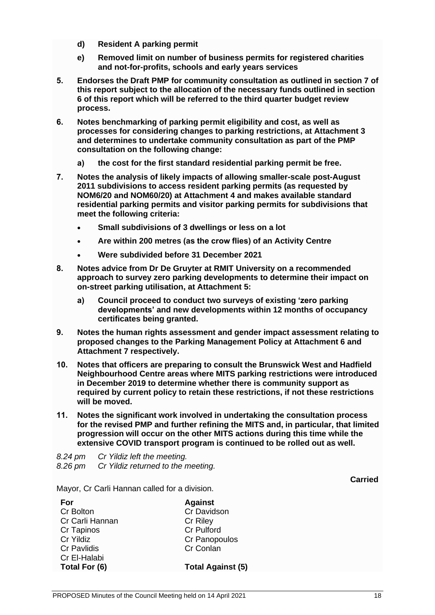- **d) Resident A parking permit**
- **e) Removed limit on number of business permits for registered charities and not-for-profits, schools and early years services**
- **5. Endorses the Draft PMP for community consultation as outlined in section 7 of this report subject to the allocation of the necessary funds outlined in section 6 of this report which will be referred to the third quarter budget review process.**
- **6. Notes benchmarking of parking permit eligibility and cost, as well as processes for considering changes to parking restrictions, at Attachment 3 and determines to undertake community consultation as part of the PMP consultation on the following change:**
	- **a) the cost for the first standard residential parking permit be free.**
- **7. Notes the analysis of likely impacts of allowing smaller-scale post-August 2011 subdivisions to access resident parking permits (as requested by NOM6/20 and NOM60/20) at Attachment 4 and makes available standard residential parking permits and visitor parking permits for subdivisions that meet the following criteria:**
	- **Small subdivisions of 3 dwellings or less on a lot**
	- **Are within 200 metres (as the crow flies) of an Activity Centre**
	- **Were subdivided before 31 December 2021**
- **8. Notes advice from Dr De Gruyter at RMIT University on a recommended approach to survey zero parking developments to determine their impact on on-street parking utilisation, at Attachment 5:**
	- **a) Council proceed to conduct two surveys of existing 'zero parking developments' and new developments within 12 months of occupancy certificates being granted.**
- **9. Notes the human rights assessment and gender impact assessment relating to proposed changes to the Parking Management Policy at Attachment 6 and Attachment 7 respectively.**
- **10. Notes that officers are preparing to consult the Brunswick West and Hadfield Neighbourhood Centre areas where MITS parking restrictions were introduced in December 2019 to determine whether there is community support as required by current policy to retain these restrictions, if not these restrictions will be moved.**
- **11. Notes the significant work involved in undertaking the consultation process for the revised PMP and further refining the MITS and, in particular, that limited progression will occur on the other MITS actions during this time while the extensive COVID transport program is continued to be rolled out as well.**

*8.24 pm Cr Yildiz left the meeting. 8.26 pm Cr Yildiz returned to the meeting.*

**Carried**

Mayor, Cr Carli Hannan called for a division.

| For                | <b>Against</b>           |
|--------------------|--------------------------|
| Cr Bolton          | Cr Davidson              |
| Cr Carli Hannan    | <b>Cr Riley</b>          |
| Cr Tapinos         | <b>Cr Pulford</b>        |
| Cr Yildiz          | Cr Panopoulos            |
| <b>Cr Pavlidis</b> | Cr Conlan                |
| Cr El-Halabi       |                          |
| Total For (6)      | <b>Total Against (5)</b> |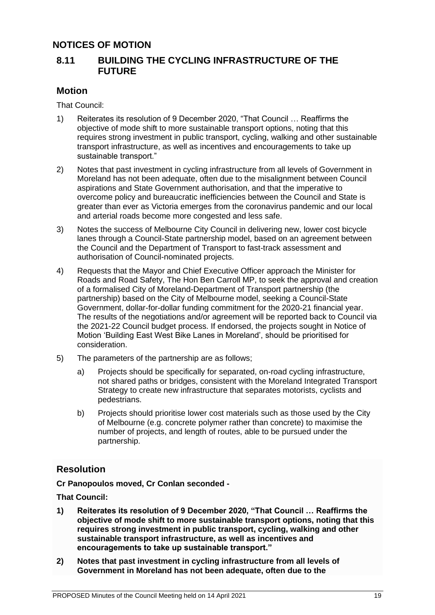# **NOTICES OF MOTION**

## **8.11 BUILDING THE CYCLING INFRASTRUCTURE OF THE FUTURE**

#### **Motion**

That Council:

- 1) Reiterates its resolution of 9 December 2020, "That Council … Reaffirms the objective of mode shift to more sustainable transport options, noting that this requires strong investment in public transport, cycling, walking and other sustainable transport infrastructure, as well as incentives and encouragements to take up sustainable transport."
- 2) Notes that past investment in cycling infrastructure from all levels of Government in Moreland has not been adequate, often due to the misalignment between Council aspirations and State Government authorisation, and that the imperative to overcome policy and bureaucratic inefficiencies between the Council and State is greater than ever as Victoria emerges from the coronavirus pandemic and our local and arterial roads become more congested and less safe.
- 3) Notes the success of Melbourne City Council in delivering new, lower cost bicycle lanes through a Council-State partnership model, based on an agreement between the Council and the Department of Transport to fast-track assessment and authorisation of Council-nominated projects.
- 4) Requests that the Mayor and Chief Executive Officer approach the Minister for Roads and Road Safety, The Hon Ben Carroll MP, to seek the approval and creation of a formalised City of Moreland-Department of Transport partnership (the partnership) based on the City of Melbourne model, seeking a Council-State Government, dollar-for-dollar funding commitment for the 2020-21 financial year. The results of the negotiations and/or agreement will be reported back to Council via the 2021-22 Council budget process. If endorsed, the projects sought in Notice of Motion 'Building East West Bike Lanes in Moreland', should be prioritised for consideration.
- 5) The parameters of the partnership are as follows;
	- a) Projects should be specifically for separated, on-road cycling infrastructure, not shared paths or bridges, consistent with the Moreland Integrated Transport Strategy to create new infrastructure that separates motorists, cyclists and pedestrians.
	- b) Projects should prioritise lower cost materials such as those used by the City of Melbourne (e.g. concrete polymer rather than concrete) to maximise the number of projects, and length of routes, able to be pursued under the partnership.

## **Resolution**

**Cr Panopoulos moved, Cr Conlan seconded -**

**That Council:**

- **1) Reiterates its resolution of 9 December 2020, "That Council … Reaffirms the objective of mode shift to more sustainable transport options, noting that this requires strong investment in public transport, cycling, walking and other sustainable transport infrastructure, as well as incentives and encouragements to take up sustainable transport."**
- **2) Notes that past investment in cycling infrastructure from all levels of Government in Moreland has not been adequate, often due to the**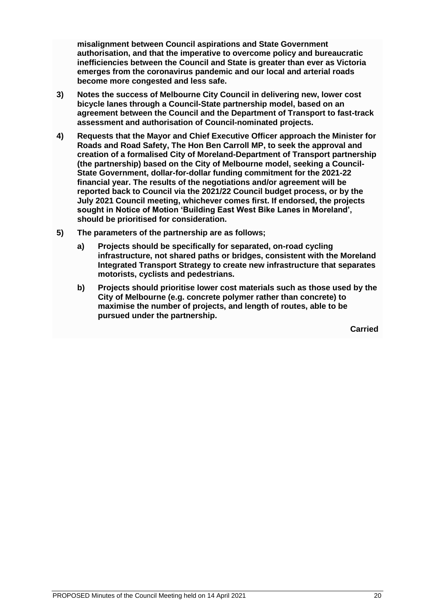**misalignment between Council aspirations and State Government authorisation, and that the imperative to overcome policy and bureaucratic inefficiencies between the Council and State is greater than ever as Victoria emerges from the coronavirus pandemic and our local and arterial roads become more congested and less safe.**

- **3) Notes the success of Melbourne City Council in delivering new, lower cost bicycle lanes through a Council-State partnership model, based on an agreement between the Council and the Department of Transport to fast-track assessment and authorisation of Council-nominated projects.**
- **4) Requests that the Mayor and Chief Executive Officer approach the Minister for Roads and Road Safety, The Hon Ben Carroll MP, to seek the approval and creation of a formalised City of Moreland-Department of Transport partnership (the partnership) based on the City of Melbourne model, seeking a Council-State Government, dollar-for-dollar funding commitment for the 2021-22 financial year. The results of the negotiations and/or agreement will be reported back to Council via the 2021/22 Council budget process, or by the July 2021 Council meeting, whichever comes first. If endorsed, the projects sought in Notice of Motion 'Building East West Bike Lanes in Moreland', should be prioritised for consideration.**
- **5) The parameters of the partnership are as follows;**
	- **a) Projects should be specifically for separated, on-road cycling infrastructure, not shared paths or bridges, consistent with the Moreland Integrated Transport Strategy to create new infrastructure that separates motorists, cyclists and pedestrians.**
	- **b) Projects should prioritise lower cost materials such as those used by the City of Melbourne (e.g. concrete polymer rather than concrete) to maximise the number of projects, and length of routes, able to be pursued under the partnership.**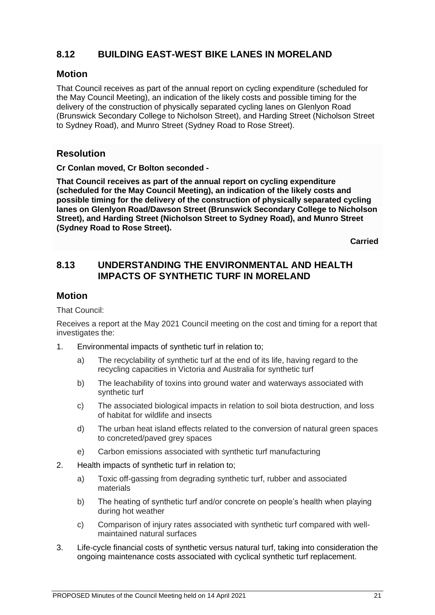# **8.12 BUILDING EAST-WEST BIKE LANES IN MORELAND**

#### **Motion**

That Council receives as part of the annual report on cycling expenditure (scheduled for the May Council Meeting), an indication of the likely costs and possible timing for the delivery of the construction of physically separated cycling lanes on Glenlyon Road (Brunswick Secondary College to Nicholson Street), and Harding Street (Nicholson Street to Sydney Road), and Munro Street (Sydney Road to Rose Street).

# **Resolution**

**Cr Conlan moved, Cr Bolton seconded -**

**That Council receives as part of the annual report on cycling expenditure (scheduled for the May Council Meeting), an indication of the likely costs and possible timing for the delivery of the construction of physically separated cycling lanes on Glenlyon Road/Dawson Street (Brunswick Secondary College to Nicholson Street), and Harding Street (Nicholson Street to Sydney Road), and Munro Street (Sydney Road to Rose Street).**

**Carried**

# **8.13 UNDERSTANDING THE ENVIRONMENTAL AND HEALTH IMPACTS OF SYNTHETIC TURF IN MORELAND**

#### **Motion**

That Council:

Receives a report at the May 2021 Council meeting on the cost and timing for a report that investigates the:

- 1. Environmental impacts of synthetic turf in relation to;
	- a) The recyclability of synthetic turf at the end of its life, having regard to the recycling capacities in Victoria and Australia for synthetic turf
	- b) The leachability of toxins into ground water and waterways associated with synthetic turf
	- c) The associated biological impacts in relation to soil biota destruction, and loss of habitat for wildlife and insects
	- d) The urban heat island effects related to the conversion of natural green spaces to concreted/paved grey spaces
	- e) Carbon emissions associated with synthetic turf manufacturing
- 2. Health impacts of synthetic turf in relation to;
	- a) Toxic off-gassing from degrading synthetic turf, rubber and associated materials
	- b) The heating of synthetic turf and/or concrete on people's health when playing during hot weather
	- c) Comparison of injury rates associated with synthetic turf compared with wellmaintained natural surfaces
- 3. Life-cycle financial costs of synthetic versus natural turf, taking into consideration the ongoing maintenance costs associated with cyclical synthetic turf replacement.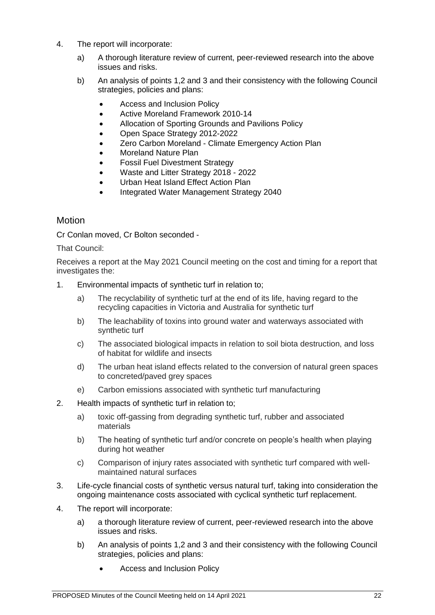- 4. The report will incorporate:
	- a) A thorough literature review of current, peer-reviewed research into the above issues and risks.
	- b) An analysis of points 1,2 and 3 and their consistency with the following Council strategies, policies and plans:
		- Access and Inclusion Policy
		- Active Moreland Framework 2010-14
		- [Allocation of Sporting Grounds and Pavilions Policy](https://www.moreland.vic.gov.au/globalassets/key-docs/policy-strategy-plan/allocation-of-sporting-grounds-and-pavilions-policy.doc)
		- Open Space Strategy 2012-2022
		- Zero Carbon Moreland Climate Emergency Action Plan
		- Moreland Nature Plan
		- Fossil Fuel Divestment Strategy
		- Waste and Litter Strategy 2018 2022
		- Urban Heat Island Effect Action Plan
		- Integrated Water Management Strategy 2040

#### **Motion**

Cr Conlan moved, Cr Bolton seconded -

That Council:

Receives a report at the May 2021 Council meeting on the cost and timing for a report that investigates the:

- 1. Environmental impacts of synthetic turf in relation to;
	- a) The recyclability of synthetic turf at the end of its life, having regard to the recycling capacities in Victoria and Australia for synthetic turf
	- b) The leachability of toxins into ground water and waterways associated with synthetic turf
	- c) The associated biological impacts in relation to soil biota destruction, and loss of habitat for wildlife and insects
	- d) The urban heat island effects related to the conversion of natural green spaces to concreted/paved grey spaces
	- e) Carbon emissions associated with synthetic turf manufacturing
- 2. Health impacts of synthetic turf in relation to;
	- a) toxic off-gassing from degrading synthetic turf, rubber and associated materials
	- b) The heating of synthetic turf and/or concrete on people's health when playing during hot weather
	- c) Comparison of injury rates associated with synthetic turf compared with wellmaintained natural surfaces
- 3. Life-cycle financial costs of synthetic versus natural turf, taking into consideration the ongoing maintenance costs associated with cyclical synthetic turf replacement.
- 4. The report will incorporate:
	- a) a thorough literature review of current, peer-reviewed research into the above issues and risks.
	- b) An analysis of points 1,2 and 3 and their consistency with the following Council strategies, policies and plans:
		- Access and Inclusion Policy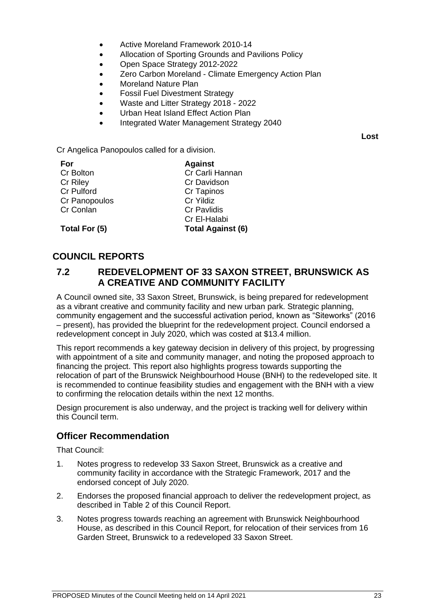- Active Moreland Framework 2010-14
- [Allocation of Sporting Grounds and Pavilions Policy](https://www.moreland.vic.gov.au/globalassets/key-docs/policy-strategy-plan/allocation-of-sporting-grounds-and-pavilions-policy.doc)
- Open Space Strategy 2012-2022
- Zero Carbon Moreland Climate Emergency Action Plan
- Moreland Nature Plan
- Fossil Fuel Divestment Strategy
- Waste and Litter Strategy 2018 2022
- Urban Heat Island Effect Action Plan
- Integrated Water Management Strategy 2040

**Lost**

Cr Angelica Panopoulos called for a division.

| For           | <b>Against</b>           |
|---------------|--------------------------|
| Cr Bolton     | Cr Carli Hannan          |
| Cr Riley      | Cr Davidson              |
| Cr Pulford    | Cr Tapinos               |
| Cr Panopoulos | Cr Yildiz                |
| Cr Conlan     | <b>Cr Pavlidis</b>       |
|               | Cr El-Halabi             |
| Total For (5) | <b>Total Against (6)</b> |

## **COUNCIL REPORTS**

#### **7.2 REDEVELOPMENT OF 33 SAXON STREET, BRUNSWICK AS A CREATIVE AND COMMUNITY FACILITY**

A Council owned site, 33 Saxon Street, Brunswick, is being prepared for redevelopment as a vibrant creative and community facility and new urban park. Strategic planning, community engagement and the successful activation period, known as "Siteworks" (2016 – present), has provided the blueprint for the redevelopment project. Council endorsed a redevelopment concept in July 2020, which was costed at \$13.4 million.

This report recommends a key gateway decision in delivery of this project, by progressing with appointment of a site and community manager, and noting the proposed approach to financing the project. This report also highlights progress towards supporting the relocation of part of the Brunswick Neighbourhood House (BNH) to the redeveloped site. It is recommended to continue feasibility studies and engagement with the BNH with a view to confirming the relocation details within the next 12 months.

Design procurement is also underway, and the project is tracking well for delivery within this Council term.

## **Officer Recommendation**

That Council:

- 1. Notes progress to redevelop 33 Saxon Street, Brunswick as a creative and community facility in accordance with the Strategic Framework, 2017 and the endorsed concept of July 2020.
- 2. Endorses the proposed financial approach to deliver the redevelopment project, as described in Table 2 of this Council Report.
- 3. Notes progress towards reaching an agreement with Brunswick Neighbourhood House, as described in this Council Report, for relocation of their services from 16 Garden Street, Brunswick to a redeveloped 33 Saxon Street.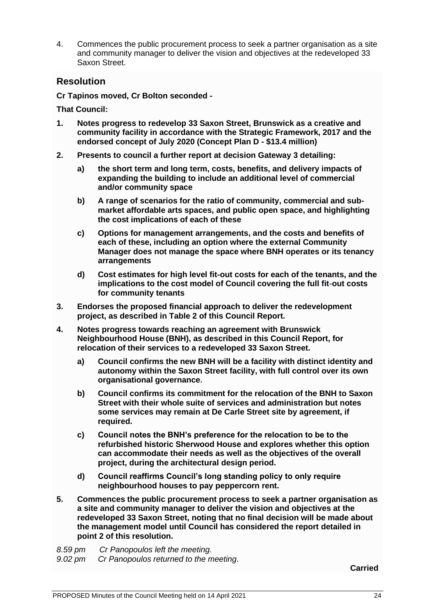4. Commences the public procurement process to seek a partner organisation as a site and community manager to deliver the vision and objectives at the redeveloped 33 Saxon Street.

## **Resolution**

**Cr Tapinos moved, Cr Bolton seconded -**

**That Council:**

- **1. Notes progress to redevelop [33 Saxon Street,](x-apple-data-detectors://4/) Brunswick as a creative and community facility in accordance with the Strategic Framework, 2017 and the endorsed concept of July 2020 (Concept Plan D - \$13.4 million)**
- **2. Presents to council a further report at decision Gateway 3 detailing:**
	- **a) the short term and long term, costs, benefits, and delivery impacts of expanding the building to include an additional level of commercial and/or community space**
	- **b) A range of scenarios for the ratio of community, commercial and submarket affordable arts spaces, and public open space, and highlighting the cost implications of each of these**
	- **c) Options for management arrangements, and the costs and benefits of each of these, including an option where the external Community Manager does not manage the space where BNH operates or its tenancy arrangements**
	- **d) Cost estimates for high level fit-out costs for each of the tenants, and the implications to the cost model of Council covering the full fit-out costs for community tenants**
- **3. Endorses the proposed financial approach to deliver the redevelopment project, as described in Table 2 of this Council Report.**
- **4. Notes progress towards reaching an agreement with Brunswick Neighbourhood House (BNH), as described in this Council Report, for relocation of their services to a redeveloped [33 Saxon Street.](x-apple-data-detectors://5/)**
	- **a) Council confirms the new BNH will be a facility with distinct identity and autonomy within the Saxon Street facility, with full control over its own organisational governance.**
	- **b) Council confirms its commitment for the relocation of the BNH to Saxon Street with their whole suite of services and administration but notes some services may remain at De Carle Street site by agreement, if required.**
	- **c) Council notes the BNH's preference for the relocation to be to the refurbished historic Sherwood House and explores whether this option can accommodate their needs as well as the objectives of the overall project, during the architectural design period.**
	- **d) Council reaffirms Council's long standing policy to only require neighbourhood houses to pay peppercorn rent.**
- **5. Commences the public procurement process to seek a partner organisation as a site and community manager to deliver the vision and objectives at the redeveloped [33 Saxon Street,](x-apple-data-detectors://6/) noting that no final decision will be made about the management model until Council has considered the report detailed in point 2 of this resolution.**
- *8.59 pm Cr Panopoulos left the meeting.*

*9.02 pm Cr Panopoulos returned to the meeting*.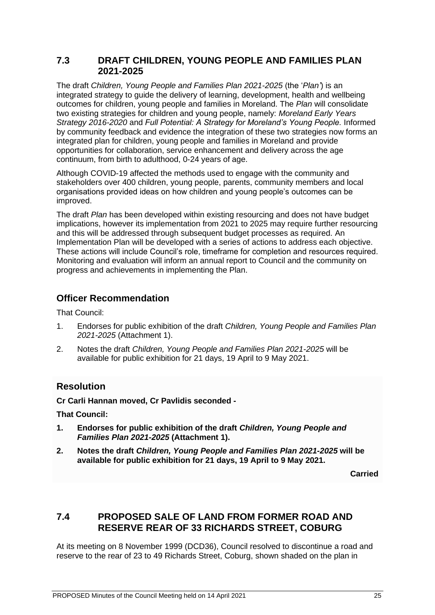#### **7.3 DRAFT CHILDREN, YOUNG PEOPLE AND FAMILIES PLAN 2021-2025**

The draft *Children, Young People and Families Plan 2021-2025* (the '*Plan'*) is an integrated strategy to guide the delivery of learning, development, health and wellbeing outcomes for children, young people and families in Moreland. The *Plan* will consolidate two existing strategies for children and young people, namely: *Moreland Early Years Strategy 2016-2020* and *Full Potential: A Strategy for Moreland's Young People.* Informed by community feedback and evidence the integration of these two strategies now forms an integrated plan for children, young people and families in Moreland and provide opportunities for collaboration, service enhancement and delivery across the age continuum, from birth to adulthood, 0-24 years of age.

Although COVID-19 affected the methods used to engage with the community and stakeholders over 400 children, young people, parents, community members and local organisations provided ideas on how children and young people's outcomes can be improved.

The draft *Plan* has been developed within existing resourcing and does not have budget implications, however its implementation from 2021 to 2025 may require further resourcing and this will be addressed through subsequent budget processes as required. An Implementation Plan will be developed with a series of actions to address each objective. These actions will include Council's role, timeframe for completion and resources required. Monitoring and evaluation will inform an annual report to Council and the community on progress and achievements in implementing the Plan.

## **Officer Recommendation**

That Council:

- 1. Endorses for public exhibition of the draft *Children, Young People and Families Plan 2021-2025* (Attachment 1).
- 2. Notes the draft *Children, Young People and Families Plan 2021-2025* will be available for public exhibition for 21 days, 19 April to 9 May 2021.

# **Resolution**

**Cr Carli Hannan moved, Cr Pavlidis seconded -**

**That Council:**

- **1. Endorses for public exhibition of the draft** *Children, Young People and Families Plan 2021-2025* **(Attachment 1).**
- **2. Notes the draft** *Children, Young People and Families Plan 2021-2025* **will be available for public exhibition for 21 days, 19 April to 9 May 2021.**

**Carried**

# **7.4 PROPOSED SALE OF LAND FROM FORMER ROAD AND RESERVE REAR OF 33 RICHARDS STREET, COBURG**

At its meeting on 8 November 1999 (DCD36), Council resolved to discontinue a road and reserve to the rear of 23 to 49 Richards Street, Coburg, shown shaded on the plan in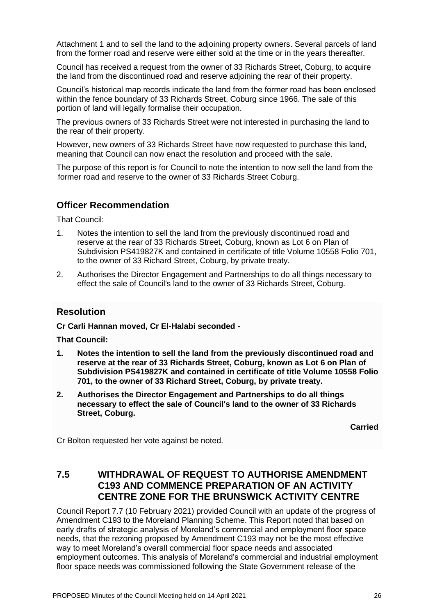Attachment 1 and to sell the land to the adjoining property owners. Several parcels of land from the former road and reserve were either sold at the time or in the years thereafter.

Council has received a request from the owner of 33 Richards Street, Coburg, to acquire the land from the discontinued road and reserve adjoining the rear of their property.

Council's historical map records indicate the land from the former road has been enclosed within the fence boundary of 33 Richards Street, Coburg since 1966. The sale of this portion of land will legally formalise their occupation.

The previous owners of 33 Richards Street were not interested in purchasing the land to the rear of their property.

However, new owners of 33 Richards Street have now requested to purchase this land, meaning that Council can now enact the resolution and proceed with the sale.

The purpose of this report is for Council to note the intention to now sell the land from the former road and reserve to the owner of 33 Richards Street Coburg.

# **Officer Recommendation**

That Council:

- 1. Notes the intention to sell the land from the previously discontinued road and reserve at the rear of 33 Richards Street, Coburg, known as Lot 6 on Plan of Subdivision PS419827K and contained in certificate of title Volume 10558 Folio 701, to the owner of 33 Richard Street, Coburg, by private treaty.
- 2. Authorises the Director Engagement and Partnerships to do all things necessary to effect the sale of Council's land to the owner of 33 Richards Street, Coburg.

#### **Resolution**

**Cr Carli Hannan moved, Cr El-Halabi seconded -**

**That Council:**

- **1. Notes the intention to sell the land from the previously discontinued road and reserve at the rear of 33 Richards Street, Coburg, known as Lot 6 on Plan of Subdivision PS419827K and contained in certificate of title Volume 10558 Folio 701, to the owner of 33 Richard Street, Coburg, by private treaty.**
- **2. Authorises the Director Engagement and Partnerships to do all things necessary to effect the sale of Council's land to the owner of 33 Richards Street, Coburg.**

**Carried**

Cr Bolton requested her vote against be noted.

## **7.5 WITHDRAWAL OF REQUEST TO AUTHORISE AMENDMENT C193 AND COMMENCE PREPARATION OF AN ACTIVITY CENTRE ZONE FOR THE BRUNSWICK ACTIVITY CENTRE**

Council Report 7.7 (10 February 2021) provided Council with an update of the progress of Amendment C193 to the Moreland Planning Scheme. This Report noted that based on early drafts of strategic analysis of Moreland's commercial and employment floor space needs, that the rezoning proposed by Amendment C193 may not be the most effective way to meet Moreland's overall commercial floor space needs and associated employment outcomes. This analysis of Moreland's commercial and industrial employment floor space needs was commissioned following the State Government release of the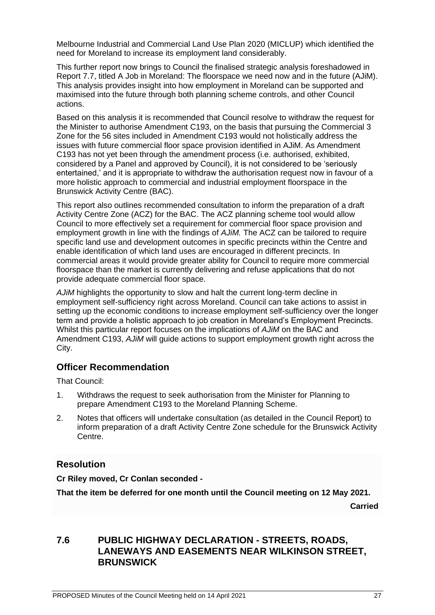Melbourne Industrial and Commercial Land Use Plan 2020 (MICLUP) which identified the need for Moreland to increase its employment land considerably.

This further report now brings to Council the finalised strategic analysis foreshadowed in Report 7.7, titled A Job in Moreland: The floorspace we need now and in the future (AJiM). This analysis provides insight into how employment in Moreland can be supported and maximised into the future through both planning scheme controls, and other Council actions.

Based on this analysis it is recommended that Council resolve to withdraw the request for the Minister to authorise Amendment C193, on the basis that pursuing the Commercial 3 Zone for the 56 sites included in Amendment C193 would not holistically address the issues with future commercial floor space provision identified in AJiM. As Amendment C193 has not yet been through the amendment process (i.e. authorised, exhibited, considered by a Panel and approved by Council), it is not considered to be 'seriously entertained,' and it is appropriate to withdraw the authorisation request now in favour of a more holistic approach to commercial and industrial employment floorspace in the Brunswick Activity Centre (BAC).

This report also outlines recommended consultation to inform the preparation of a draft Activity Centre Zone (ACZ) for the BAC. The ACZ planning scheme tool would allow Council to more effectively set a requirement for commercial floor space provision and employment growth in line with the findings of *AJiM.* The ACZ can be tailored to require specific land use and development outcomes in specific precincts within the Centre and enable identification of which land uses are encouraged in different precincts. In commercial areas it would provide greater ability for Council to require more commercial floorspace than the market is currently delivering and refuse applications that do not provide adequate commercial floor space.

*AJiM* highlights the opportunity to slow and halt the current long-term decline in employment self-sufficiency right across Moreland. Council can take actions to assist in setting up the economic conditions to increase employment self-sufficiency over the longer term and provide a holistic approach to job creation in Moreland's Employment Precincts. Whilst this particular report focuses on the implications of *AJiM* on the BAC and Amendment C193, *AJiM* will guide actions to support employment growth right across the City.

## **Officer Recommendation**

That Council:

- 1. Withdraws the request to seek authorisation from the Minister for Planning to prepare Amendment C193 to the Moreland Planning Scheme.
- 2. Notes that officers will undertake consultation (as detailed in the Council Report) to inform preparation of a draft Activity Centre Zone schedule for the Brunswick Activity Centre.

# **Resolution**

**Cr Riley moved, Cr Conlan seconded -**

**That the item be deferred for one month until the Council meeting on 12 May 2021.**

**Carried**

## **7.6 PUBLIC HIGHWAY DECLARATION - STREETS, ROADS, LANEWAYS AND EASEMENTS NEAR WILKINSON STREET, BRUNSWICK**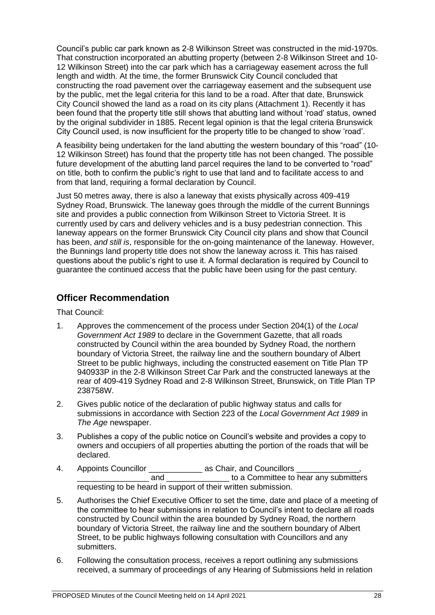Council's public car park known as 2-8 Wilkinson Street was constructed in the mid-1970s. That construction incorporated an abutting property (between 2-8 Wilkinson Street and 10- 12 Wilkinson Street) into the car park which has a carriageway easement across the full length and width. At the time, the former Brunswick City Council concluded that constructing the road pavement over the carriageway easement and the subsequent use by the public, met the legal criteria for this land to be a road. After that date, Brunswick City Council showed the land as a road on its city plans (Attachment 1). Recently it has been found that the property title still shows that abutting land without 'road' status, owned by the original subdivider in 1885. Recent legal opinion is that the legal criteria Brunswick City Council used, is now insufficient for the property title to be changed to show 'road'.

A feasibility being undertaken for the land abutting the western boundary of this "road" (10- 12 Wilkinson Street) has found that the property title has not been changed. The possible future development of the abutting land parcel requires the land to be converted to "road" on title, both to confirm the public's right to use that land and to facilitate access to and from that land, requiring a formal declaration by Council.

Just 50 metres away, there is also a laneway that exists physically across 409-419 Sydney Road, Brunswick. The laneway goes through the middle of the current Bunnings site and provides a public connection from Wilkinson Street to Victoria Street. It is currently used by cars and delivery vehicles and is a busy pedestrian connection. This laneway appears on the former Brunswick City Council city plans and show that Council has been, *and still is*, responsible for the on-going maintenance of the laneway. However, the Bunnings land property title does not show the laneway across it. This has raised questions about the public's right to use it. A formal declaration is required by Council to guarantee the continued access that the public have been using for the past century.

## **Officer Recommendation**

That Council:

- 1. Approves the commencement of the process under Section 204(1) of the *Local Government Act 1989* to declare in the Government Gazette, that all roads constructed by Council within the area bounded by Sydney Road, the northern boundary of Victoria Street, the railway line and the southern boundary of Albert Street to be public highways, including the constructed easement on Title Plan TP 940933P in the 2-8 Wilkinson Street Car Park and the constructed laneways at the rear of 409-419 Sydney Road and 2-8 Wilkinson Street, Brunswick, on Title Plan TP 238758W.
- 2. Gives public notice of the declaration of public highway status and calls for submissions in accordance with Section 223 of the *Local Government Act 1989* in *The Age* newspaper.
- 3. Publishes a copy of the public notice on Council's website and provides a copy to owners and occupiers of all properties abutting the portion of the roads that will be declared.
- 4. Appoints Councillor \_\_\_\_\_\_\_\_\_\_\_\_\_\_\_\_\_ as Chair, and Councillors and and to a Committee to hear any submitters requesting to be heard in support of their written submission.
- 5. Authorises the Chief Executive Officer to set the time, date and place of a meeting of the committee to hear submissions in relation to Council's intent to declare all roads constructed by Council within the area bounded by Sydney Road, the northern boundary of Victoria Street, the railway line and the southern boundary of Albert Street, to be public highways following consultation with Councillors and any submitters.
- 6. Following the consultation process, receives a report outlining any submissions received, a summary of proceedings of any Hearing of Submissions held in relation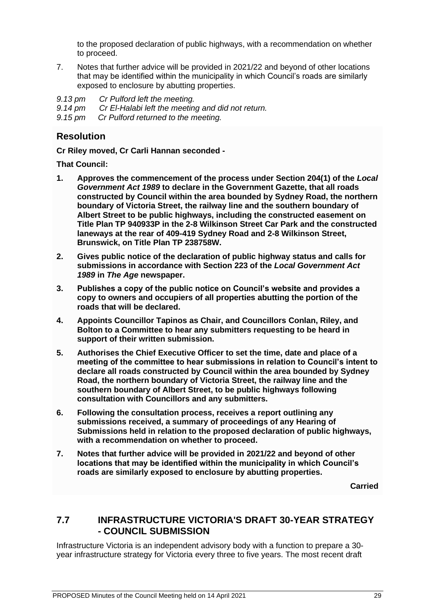to the proposed declaration of public highways, with a recommendation on whether to proceed.

7. Notes that further advice will be provided in 2021/22 and beyond of other locations that may be identified within the municipality in which Council's roads are similarly exposed to enclosure by abutting properties.

*9.13 pm Cr Pulford left the meeting. 9.14 pm Cr El-Halabi left the meeting and did not return. 9.15 pm Cr Pulford returned to the meeting.*

# **Resolution**

**Cr Riley moved, Cr Carli Hannan seconded -**

**That Council:**

- **1. Approves the commencement of the process under Section 204(1) of the** *Local Government Act 1989* **to declare in the Government Gazette, that all roads constructed by Council within the area bounded by Sydney Road, the northern boundary of Victoria Street, the railway line and the southern boundary of Albert Street to be public highways, including the constructed easement on Title Plan TP 940933P in the 2-8 Wilkinson Street Car Park and the constructed laneways at the rear of 409-419 Sydney Road and 2-8 Wilkinson Street, Brunswick, on Title Plan TP 238758W.**
- **2. Gives public notice of the declaration of public highway status and calls for submissions in accordance with Section 223 of the** *Local Government Act 1989* **in** *The Age* **newspaper.**
- **3. Publishes a copy of the public notice on Council's website and provides a copy to owners and occupiers of all properties abutting the portion of the roads that will be declared.**
- **4. Appoints Councillor Tapinos as Chair, and Councillors Conlan, Riley, and Bolton to a Committee to hear any submitters requesting to be heard in support of their written submission.**
- **5. Authorises the Chief Executive Officer to set the time, date and place of a meeting of the committee to hear submissions in relation to Council's intent to declare all roads constructed by Council within the area bounded by Sydney Road, the northern boundary of Victoria Street, the railway line and the southern boundary of Albert Street, to be public highways following consultation with Councillors and any submitters.**
- **6. Following the consultation process, receives a report outlining any submissions received, a summary of proceedings of any Hearing of Submissions held in relation to the proposed declaration of public highways, with a recommendation on whether to proceed.**
- **7. Notes that further advice will be provided in 2021/22 and beyond of other locations that may be identified within the municipality in which Council's roads are similarly exposed to enclosure by abutting properties.**

**Carried**

# **7.7 INFRASTRUCTURE VICTORIA'S DRAFT 30-YEAR STRATEGY - COUNCIL SUBMISSION**

Infrastructure Victoria is an independent advisory body with a function to prepare a 30 year infrastructure strategy for Victoria every three to five years. The most recent draft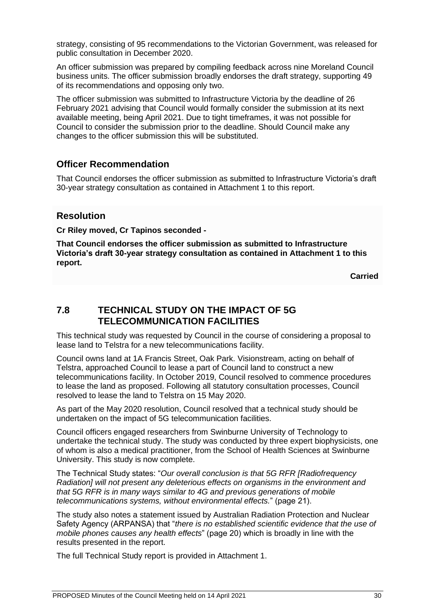strategy, consisting of 95 recommendations to the Victorian Government, was released for public consultation in December 2020.

An officer submission was prepared by compiling feedback across nine Moreland Council business units. The officer submission broadly endorses the draft strategy, supporting 49 of its recommendations and opposing only two.

The officer submission was submitted to Infrastructure Victoria by the deadline of 26 February 2021 advising that Council would formally consider the submission at its next available meeting, being April 2021. Due to tight timeframes, it was not possible for Council to consider the submission prior to the deadline. Should Council make any changes to the officer submission this will be substituted.

## **Officer Recommendation**

That Council endorses the officer submission as submitted to Infrastructure Victoria's draft 30-year strategy consultation as contained in Attachment 1 to this report.

#### **Resolution**

**Cr Riley moved, Cr Tapinos seconded -**

**That Council endorses the officer submission as submitted to Infrastructure Victoria's draft 30-year strategy consultation as contained in Attachment 1 to this report.**

**Carried**

# **7.8 TECHNICAL STUDY ON THE IMPACT OF 5G TELECOMMUNICATION FACILITIES**

This technical study was requested by Council in the course of considering a proposal to lease land to Telstra for a new telecommunications facility.

Council owns land at 1A Francis Street, Oak Park. Visionstream, acting on behalf of Telstra, approached Council to lease a part of Council land to construct a new telecommunications facility. In October 2019, Council resolved to commence procedures to lease the land as proposed. Following all statutory consultation processes, Council resolved to lease the land to Telstra on 15 May 2020.

As part of the May 2020 resolution, Council resolved that a technical study should be undertaken on the impact of 5G telecommunication facilities.

Council officers engaged researchers from Swinburne University of Technology to undertake the technical study. The study was conducted by three expert biophysicists, one of whom is also a medical practitioner, from the School of Health Sciences at Swinburne University. This study is now complete.

The Technical Study states: "*Our overall conclusion is that 5G RFR [Radiofrequency Radiation] will not present any deleterious effects on organisms in the environment and that 5G RFR is in many ways similar to 4G and previous generations of mobile telecommunications systems, without environmental effects.*" (page 21).

The study also notes a statement issued by Australian Radiation Protection and Nuclear Safety Agency (ARPANSA) that "*there is no established scientific evidence that the use of mobile phones causes any health effects*" (page 20) which is broadly in line with the results presented in the report.

The full Technical Study report is provided in Attachment 1.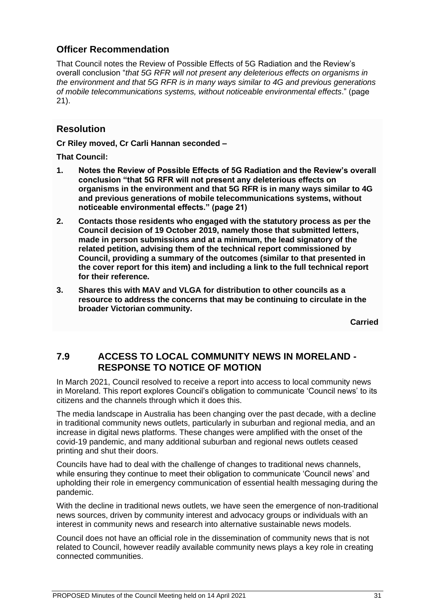# **Officer Recommendation**

That Council notes the Review of Possible Effects of 5G Radiation and the Review's overall conclusion "*that 5G RFR will not present any deleterious effects on organisms in the environment and that 5G RFR is in many ways similar to 4G and previous generations of mobile telecommunications systems, without noticeable environmental effects*." (page 21).

# **Resolution**

**Cr Riley moved, Cr Carli Hannan seconded –**

**That Council:**

- **1. Notes the Review of Possible Effects of 5G Radiation and the Review's overall conclusion "that 5G RFR will not present any deleterious effects on organisms in the environment and that 5G RFR is in many ways similar to 4G and previous generations of mobile telecommunications systems, without noticeable environmental effects." (page 21)**
- **2. Contacts those residents who engaged with the statutory process as per the Council decision of 19 October 2019, namely those that submitted letters, made in person submissions and at a minimum, the lead signatory of the related petition, advising them of the technical report commissioned by Council, providing a summary of the outcomes (similar to that presented in the cover report for this item) and including a link to the full technical report for their reference.**
- **3. Shares this with MAV and VLGA for distribution to other councils as a resource to address the concerns that may be continuing to circulate in the broader Victorian community.**

**Carried**

# **7.9 ACCESS TO LOCAL COMMUNITY NEWS IN MORELAND - RESPONSE TO NOTICE OF MOTION**

In March 2021, Council resolved to receive a report into access to local community news in Moreland. This report explores Council's obligation to communicate 'Council news' to its citizens and the channels through which it does this.

The media landscape in Australia has been changing over the past decade, with a decline in traditional community news outlets, particularly in suburban and regional media, and an increase in digital news platforms. These changes were amplified with the onset of the covid-19 pandemic, and many additional suburban and regional news outlets ceased printing and shut their doors.

Councils have had to deal with the challenge of changes to traditional news channels, while ensuring they continue to meet their obligation to communicate 'Council news' and upholding their role in emergency communication of essential health messaging during the pandemic.

With the decline in traditional news outlets, we have seen the emergence of non-traditional news sources, driven by community interest and advocacy groups or individuals with an interest in community news and research into alternative sustainable news models.

Council does not have an official role in the dissemination of community news that is not related to Council, however readily available community news plays a key role in creating connected communities.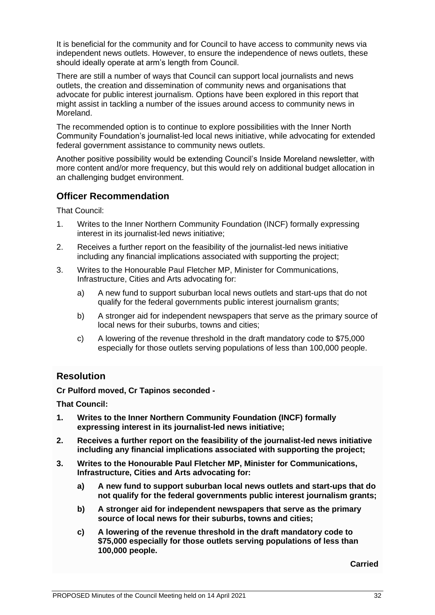It is beneficial for the community and for Council to have access to community news via independent news outlets. However, to ensure the independence of news outlets, these should ideally operate at arm's length from Council.

There are still a number of ways that Council can support local journalists and news outlets, the creation and dissemination of community news and organisations that advocate for public interest journalism. Options have been explored in this report that might assist in tackling a number of the issues around access to community news in Moreland.

The recommended option is to continue to explore possibilities with the Inner North Community Foundation's journalist-led local news initiative, while advocating for extended federal government assistance to community news outlets.

Another positive possibility would be extending Council's Inside Moreland newsletter, with more content and/or more frequency, but this would rely on additional budget allocation in an challenging budget environment.

## **Officer Recommendation**

That Council:

- 1. Writes to the Inner Northern Community Foundation (INCF) formally expressing interest in its journalist-led news initiative;
- 2. Receives a further report on the feasibility of the journalist-led news initiative including any financial implications associated with supporting the project;
- 3. Writes to the Honourable Paul Fletcher MP, Minister for Communications, Infrastructure, Cities and Arts advocating for:
	- a) A new fund to support suburban local news outlets and start-ups that do not qualify for the federal governments public interest journalism grants;
	- b) A stronger aid for independent newspapers that serve as the primary source of local news for their suburbs, towns and cities;
	- c) A lowering of the revenue threshold in the draft mandatory code to \$75,000 especially for those outlets serving populations of less than 100,000 people.

## **Resolution**

**Cr Pulford moved, Cr Tapinos seconded -**

**That Council:**

- **1. Writes to the Inner Northern Community Foundation (INCF) formally expressing interest in its journalist-led news initiative;**
- **2. Receives a further report on the feasibility of the journalist-led news initiative including any financial implications associated with supporting the project;**
- **3. Writes to the Honourable Paul Fletcher MP, Minister for Communications, Infrastructure, Cities and Arts advocating for:**
	- **a) A new fund to support suburban local news outlets and start-ups that do not qualify for the federal governments public interest journalism grants;**
	- **b) A stronger aid for independent newspapers that serve as the primary source of local news for their suburbs, towns and cities;**
	- **c) A lowering of the revenue threshold in the draft mandatory code to \$75,000 especially for those outlets serving populations of less than 100,000 people.**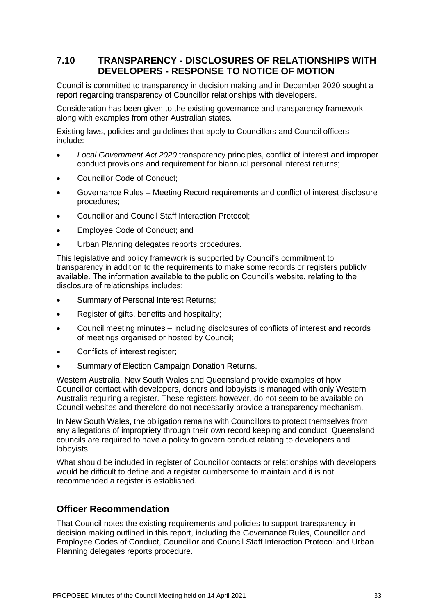# **7.10 TRANSPARENCY - DISCLOSURES OF RELATIONSHIPS WITH DEVELOPERS - RESPONSE TO NOTICE OF MOTION**

Council is committed to transparency in decision making and in December 2020 sought a report regarding transparency of Councillor relationships with developers.

Consideration has been given to the existing governance and transparency framework along with examples from other Australian states.

Existing laws, policies and guidelines that apply to Councillors and Council officers include:

- *Local Government Act 2020* transparency principles, conflict of interest and improper conduct provisions and requirement for biannual personal interest returns;
- Councillor Code of Conduct;
- Governance Rules Meeting Record requirements and conflict of interest disclosure procedures;
- Councillor and Council Staff Interaction Protocol;
- Employee Code of Conduct; and
- Urban Planning delegates reports procedures.

This legislative and policy framework is supported by Council's commitment to transparency in addition to the requirements to make some records or registers publicly available. The information available to the public on Council's website, relating to the disclosure of relationships includes:

- Summary of Personal Interest Returns;
- Register of gifts, benefits and hospitality;
- Council meeting minutes including disclosures of conflicts of interest and records of meetings organised or hosted by Council;
- Conflicts of interest register;
- Summary of Election Campaign Donation Returns.

Western Australia, New South Wales and Queensland provide examples of how Councillor contact with developers, donors and lobbyists is managed with only Western Australia requiring a register. These registers however, do not seem to be available on Council websites and therefore do not necessarily provide a transparency mechanism.

In New South Wales, the obligation remains with Councillors to protect themselves from any allegations of impropriety through their own record keeping and conduct. Queensland councils are required to have a policy to govern conduct relating to developers and lobbyists.

What should be included in register of Councillor contacts or relationships with developers would be difficult to define and a register cumbersome to maintain and it is not recommended a register is established.

## **Officer Recommendation**

That Council notes the existing requirements and policies to support transparency in decision making outlined in this report, including the Governance Rules, Councillor and Employee Codes of Conduct, Councillor and Council Staff Interaction Protocol and Urban Planning delegates reports procedure.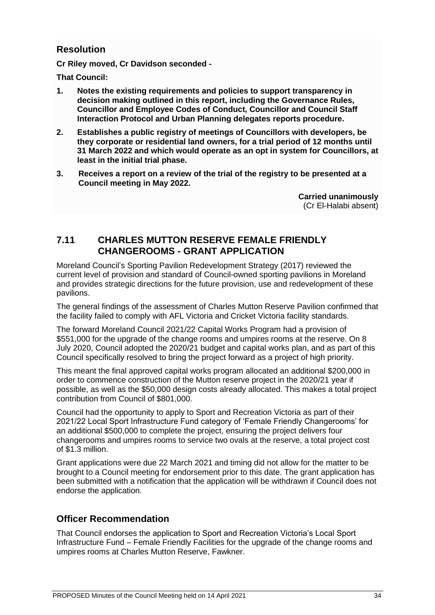## **Resolution**

**Cr Riley moved, Cr Davidson seconded -**

**That Council:**

- **1. Notes the existing requirements and policies to support transparency in decision making outlined in this report, including the Governance Rules, Councillor and Employee Codes of Conduct, Councillor and Council Staff Interaction Protocol and Urban Planning delegates reports procedure.**
- **2. Establishes a public registry of meetings of Councillors with developers, be they corporate or residential land owners, for a trial period of 12 months until 31 March 2022 and which would operate as an opt in system for Councillors, at least in the initial trial phase.**
- **3. Receives a report on a review of the trial of the registry to be presented at a Council meeting in May 2022.**

**Carried unanimously**  (Cr El-Halabi absent)

# **7.11 CHARLES MUTTON RESERVE FEMALE FRIENDLY CHANGEROOMS - GRANT APPLICATION**

Moreland Council's Sporting Pavilion Redevelopment Strategy (2017) reviewed the current level of provision and standard of Council-owned sporting pavilions in Moreland and provides strategic directions for the future provision, use and redevelopment of these pavilions.

The general findings of the assessment of Charles Mutton Reserve Pavilion confirmed that the facility failed to comply with AFL Victoria and Cricket Victoria facility standards.

The forward Moreland Council 2021/22 Capital Works Program had a provision of \$551,000 for the upgrade of the change rooms and umpires rooms at the reserve. On 8 July 2020, Council adopted the 2020/21 budget and capital works plan, and as part of this Council specifically resolved to bring the project forward as a project of high priority.

This meant the final approved capital works program allocated an additional \$200,000 in order to commence construction of the Mutton reserve project in the 2020/21 year if possible, as well as the \$50,000 design costs already allocated. This makes a total project contribution from Council of \$801,000.

Council had the opportunity to apply to Sport and Recreation Victoria as part of their 2021/22 Local Sport Infrastructure Fund category of 'Female Friendly Changerooms' for an additional \$500,000 to complete the project, ensuring the project delivers four changerooms and umpires rooms to service two ovals at the reserve, a total project cost of \$1.3 million.

Grant applications were due 22 March 2021 and timing did not allow for the matter to be brought to a Council meeting for endorsement prior to this date. The grant application has been submitted with a notification that the application will be withdrawn if Council does not endorse the application.

# **Officer Recommendation**

That Council endorses the application to Sport and Recreation Victoria's Local Sport Infrastructure Fund – Female Friendly Facilities for the upgrade of the change rooms and umpires rooms at Charles Mutton Reserve, Fawkner.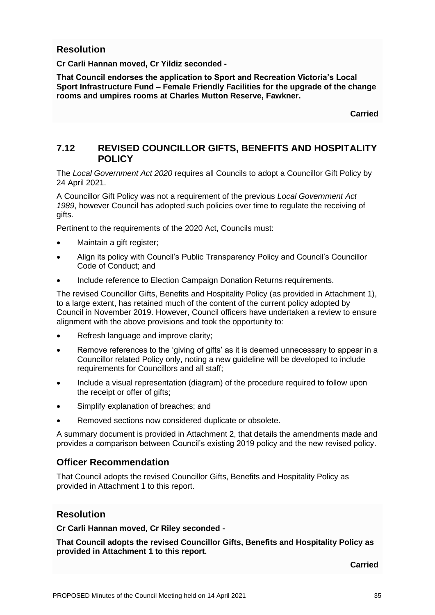#### **Resolution**

**Cr Carli Hannan moved, Cr Yildiz seconded -**

**That Council endorses the application to Sport and Recreation Victoria's Local Sport Infrastructure Fund – Female Friendly Facilities for the upgrade of the change rooms and umpires rooms at Charles Mutton Reserve, Fawkner.** 

**Carried**

## **7.12 REVISED COUNCILLOR GIFTS, BENEFITS AND HOSPITALITY POLICY**

The *Local Government Act 2020* requires all Councils to adopt a Councillor Gift Policy by 24 April 2021.

A Councillor Gift Policy was not a requirement of the previous *Local Government Act 1989*, however Council has adopted such policies over time to regulate the receiving of gifts.

Pertinent to the requirements of the 2020 Act, Councils must:

- Maintain a gift register;
- Align its policy with Council's Public Transparency Policy and Council's Councillor Code of Conduct; and
- Include reference to Election Campaign Donation Returns requirements.

The revised Councillor Gifts, Benefits and Hospitality Policy (as provided in Attachment 1), to a large extent, has retained much of the content of the current policy adopted by Council in November 2019. However, Council officers have undertaken a review to ensure alignment with the above provisions and took the opportunity to:

- Refresh language and improve clarity;
- Remove references to the 'giving of gifts' as it is deemed unnecessary to appear in a Councillor related Policy only, noting a new guideline will be developed to include requirements for Councillors and all staff;
- Include a visual representation (diagram) of the procedure required to follow upon the receipt or offer of gifts;
- Simplify explanation of breaches; and
- Removed sections now considered duplicate or obsolete.

A summary document is provided in Attachment 2, that details the amendments made and provides a comparison between Council's existing 2019 policy and the new revised policy.

#### **Officer Recommendation**

That Council adopts the revised Councillor Gifts, Benefits and Hospitality Policy as provided in Attachment 1 to this report.

#### **Resolution**

**Cr Carli Hannan moved, Cr Riley seconded -**

**That Council adopts the revised Councillor Gifts, Benefits and Hospitality Policy as provided in Attachment 1 to this report.**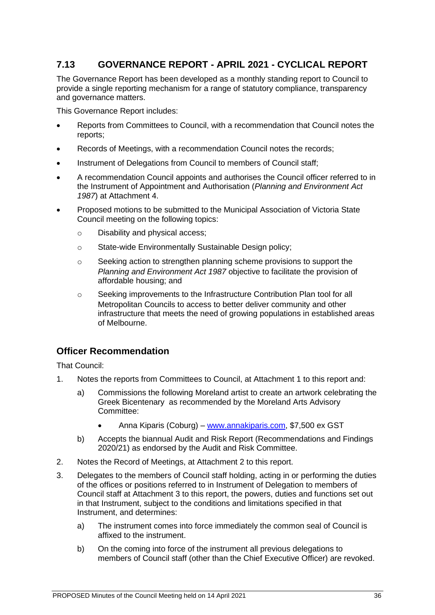# **7.13 GOVERNANCE REPORT - APRIL 2021 - CYCLICAL REPORT**

The Governance Report has been developed as a monthly standing report to Council to provide a single reporting mechanism for a range of statutory compliance, transparency and governance matters.

This Governance Report includes:

- Reports from Committees to Council, with a recommendation that Council notes the reports;
- Records of Meetings, with a recommendation Council notes the records;
- Instrument of Delegations from Council to members of Council staff;
- A recommendation Council appoints and authorises the Council officer referred to in the Instrument of Appointment and Authorisation (*Planning and Environment Act 1987*) at Attachment 4.
- Proposed motions to be submitted to the Municipal Association of Victoria State Council meeting on the following topics:
	- o Disability and physical access;
	- o State-wide Environmentally Sustainable Design policy;
	- $\circ$  Seeking action to strengthen planning scheme provisions to support the *Planning and Environment Act 1987* objective to facilitate the provision of affordable housing; and
	- o Seeking improvements to the Infrastructure Contribution Plan tool for all Metropolitan Councils to access to better deliver community and other infrastructure that meets the need of growing populations in established areas of Melbourne.

# **Officer Recommendation**

That Council:

- 1. Notes the reports from Committees to Council, at Attachment 1 to this report and:
	- a) Commissions the following Moreland artist to create an artwork celebrating the Greek Bicentenary as recommended by the Moreland Arts Advisory Committee:
		- Anna Kiparis (Coburg) [www.annakiparis.com,](http://www.annakiparis.com/) \$7,500 ex GST
	- b) Accepts the biannual Audit and Risk Report (Recommendations and Findings 2020/21) as endorsed by the Audit and Risk Committee.
- 2. Notes the Record of Meetings, at Attachment 2 to this report.
- 3. Delegates to the members of Council staff holding, acting in or performing the duties of the offices or positions referred to in Instrument of Delegation to members of Council staff at Attachment 3 to this report, the powers, duties and functions set out in that Instrument, subject to the conditions and limitations specified in that Instrument, and determines:
	- a) The instrument comes into force immediately the common seal of Council is affixed to the instrument.
	- b) On the coming into force of the instrument all previous delegations to members of Council staff (other than the Chief Executive Officer) are revoked.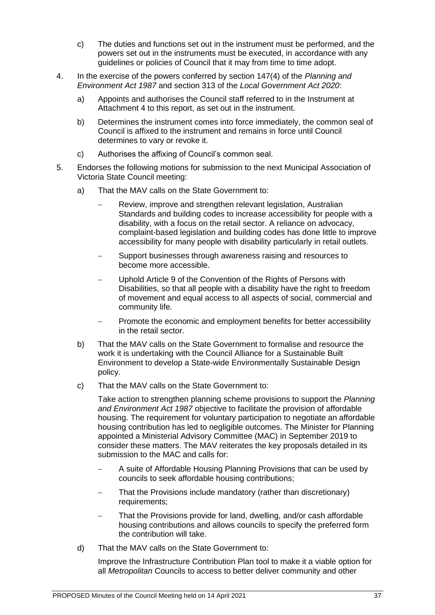- c) The duties and functions set out in the instrument must be performed, and the powers set out in the instruments must be executed, in accordance with any guidelines or policies of Council that it may from time to time adopt.
- 4. In the exercise of the powers conferred by section 147(4) of the *Planning and Environment Act 1987* and section 313 of the *Local Government Act 2020*:
	- a) Appoints and authorises the Council staff referred to in the Instrument at Attachment 4 to this report, as set out in the instrument.
	- b) Determines the instrument comes into force immediately, the common seal of Council is affixed to the instrument and remains in force until Council determines to vary or revoke it.
	- c) Authorises the affixing of Council's common seal.
- 5. Endorses the following motions for submission to the next Municipal Association of Victoria State Council meeting:
	- a) That the MAV calls on the State Government to:
		- Review, improve and strengthen relevant legislation, Australian Standards and building codes to increase accessibility for people with a disability, with a focus on the retail sector. A reliance on advocacy, complaint-based legislation and building codes has done little to improve accessibility for many people with disability particularly in retail outlets.
		- Support businesses through awareness raising and resources to become more accessible.
		- Uphold Article 9 of the Convention of the Rights of Persons with Disabilities, so that all people with a disability have the right to freedom of movement and equal access to all aspects of social, commercial and community life.
		- Promote the economic and employment benefits for better accessibility in the retail sector.
	- b) That the MAV calls on the State Government to formalise and resource the work it is undertaking with the Council Alliance for a Sustainable Built Environment to develop a State-wide Environmentally Sustainable Design policy.
	- c) That the MAV calls on the State Government to:

Take action to strengthen planning scheme provisions to support the *Planning and Environment Act 1987* objective to facilitate the provision of affordable housing. The requirement for voluntary participation to negotiate an affordable housing contribution has led to negligible outcomes. The Minister for Planning appointed a Ministerial Advisory Committee (MAC) in September 2019 to consider these matters. The MAV reiterates the key proposals detailed in its submission to the MAC and calls for:

- A suite of Affordable Housing Planning Provisions that can be used by councils to seek affordable housing contributions;
- That the Provisions include mandatory (rather than discretionary) requirements;
- That the Provisions provide for land, dwelling, and/or cash affordable housing contributions and allows councils to specify the preferred form the contribution will take.
- d) That the MAV calls on the State Government to:

Improve the Infrastructure Contribution Plan tool to make it a viable option for all *Metropolitan* Councils to access to better deliver community and other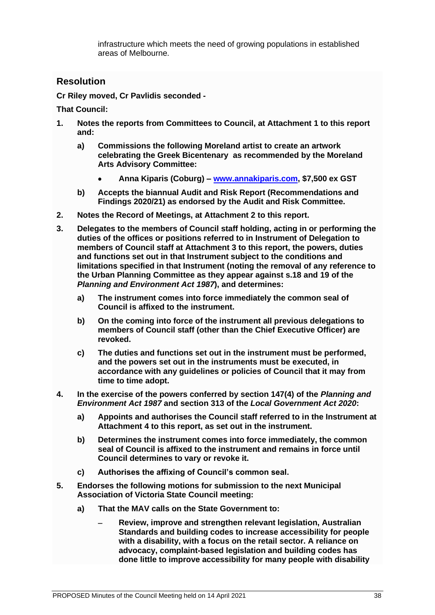infrastructure which meets the need of growing populations in established areas of Melbourne.

## **Resolution**

**Cr Riley moved, Cr Pavlidis seconded -**

**That Council:**

- **1. Notes the reports from Committees to Council, at Attachment 1 to this report and:**
	- **a) Commissions the following Moreland artist to create an artwork celebrating the Greek Bicentenary as recommended by the Moreland Arts Advisory Committee:**
		- **Anna Kiparis (Coburg) – [www.annakiparis.com,](http://www.annakiparis.com/) \$7,500 ex GST**
	- **b) Accepts the biannual Audit and Risk Report (Recommendations and Findings 2020/21) as endorsed by the Audit and Risk Committee.**
- **2. Notes the Record of Meetings, at Attachment 2 to this report.**
- **3. Delegates to the members of Council staff holding, acting in or performing the duties of the offices or positions referred to in Instrument of Delegation to members of Council staff at Attachment 3 to this report, the powers, duties and functions set out in that Instrument subject to the conditions and limitations specified in that Instrument (noting the removal of any reference to the Urban Planning Committee as they appear against s.18 and 19 of the**  *Planning and Environment Act 1987***), and determines:** 
	- **a) The instrument comes into force immediately the common seal of Council is affixed to the instrument.**
	- **b) On the coming into force of the instrument all previous delegations to members of Council staff (other than the Chief Executive Officer) are revoked.**
	- **c) The duties and functions set out in the instrument must be performed, and the powers set out in the instruments must be executed, in accordance with any guidelines or policies of Council that it may from time to time adopt.**
- **4. In the exercise of the powers conferred by section 147(4) of the** *Planning and Environment Act 1987* **and section 313 of the** *Local Government Act 2020***:** 
	- **a) Appoints and authorises the Council staff referred to in the Instrument at Attachment 4 to this report, as set out in the instrument.**
	- **b) Determines the instrument comes into force immediately, the common seal of Council is affixed to the instrument and remains in force until Council determines to vary or revoke it.**
	- **c) Authorises the affixing of Council's common seal.**
- **5. Endorses the following motions for submission to the next Municipal Association of Victoria State Council meeting:**
	- **a) That the MAV calls on the State Government to:**
		- − **Review, improve and strengthen relevant legislation, Australian Standards and building codes to increase accessibility for people with a disability, with a focus on the retail sector. A reliance on advocacy, complaint-based legislation and building codes has done little to improve accessibility for many people with disability**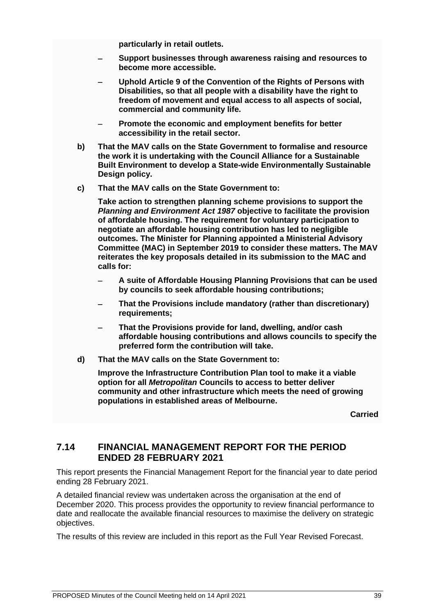**particularly in retail outlets.** 

- − **Support businesses through awareness raising and resources to become more accessible.**
- − **Uphold Article 9 of the Convention of the Rights of Persons with Disabilities, so that all people with a disability have the right to freedom of movement and equal access to all aspects of social, commercial and community life.**
- − **Promote the economic and employment benefits for better accessibility in the retail sector.**
- **b) That the MAV calls on the State Government to formalise and resource the work it is undertaking with the Council Alliance for a Sustainable Built Environment to develop a State-wide Environmentally Sustainable Design policy.**
- **c) That the MAV calls on the State Government to:**

**Take action to strengthen planning scheme provisions to support the**  *Planning and Environment Act 1987* **objective to facilitate the provision of affordable housing. The requirement for voluntary participation to negotiate an affordable housing contribution has led to negligible outcomes. The Minister for Planning appointed a Ministerial Advisory Committee (MAC) in September 2019 to consider these matters. The MAV reiterates the key proposals detailed in its submission to the MAC and calls for:**

- − **A suite of Affordable Housing Planning Provisions that can be used by councils to seek affordable housing contributions;**
- − **That the Provisions include mandatory (rather than discretionary) requirements;**
- − **That the Provisions provide for land, dwelling, and/or cash affordable housing contributions and allows councils to specify the preferred form the contribution will take.**
- **d) That the MAV calls on the State Government to:**

**Improve the Infrastructure Contribution Plan tool to make it a viable option for all** *Metropolitan* **Councils to access to better deliver community and other infrastructure which meets the need of growing populations in established areas of Melbourne.**

**Carried**

## **7.14 FINANCIAL MANAGEMENT REPORT FOR THE PERIOD ENDED 28 FEBRUARY 2021**

This report presents the Financial Management Report for the financial year to date period ending 28 February 2021.

A detailed financial review was undertaken across the organisation at the end of December 2020. This process provides the opportunity to review financial performance to date and reallocate the available financial resources to maximise the delivery on strategic objectives.

The results of this review are included in this report as the Full Year Revised Forecast.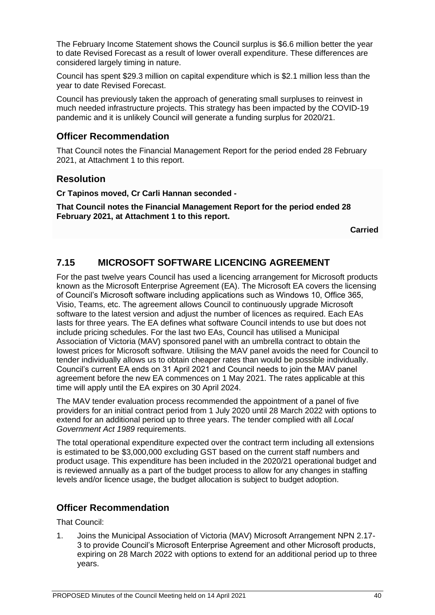The February Income Statement shows the Council surplus is \$6.6 million better the year to date Revised Forecast as a result of lower overall expenditure. These differences are considered largely timing in nature.

Council has spent \$29.3 million on capital expenditure which is \$2.1 million less than the year to date Revised Forecast.

Council has previously taken the approach of generating small surpluses to reinvest in much needed infrastructure projects. This strategy has been impacted by the COVID-19 pandemic and it is unlikely Council will generate a funding surplus for 2020/21.

## **Officer Recommendation**

That Council notes the Financial Management Report for the period ended 28 February 2021, at Attachment 1 to this report.

# **Resolution**

**Cr Tapinos moved, Cr Carli Hannan seconded -**

**That Council notes the Financial Management Report for the period ended 28 February 2021, at Attachment 1 to this report.**

**Carried**

# **7.15 MICROSOFT SOFTWARE LICENCING AGREEMENT**

For the past twelve years Council has used a licencing arrangement for Microsoft products known as the Microsoft Enterprise Agreement (EA). The Microsoft EA covers the licensing of Council's Microsoft software including applications such as Windows 10, Office 365, Visio, Teams, etc. The agreement allows Council to continuously upgrade Microsoft software to the latest version and adjust the number of licences as required. Each EAs lasts for three years. The EA defines what software Council intends to use but does not include pricing schedules. For the last two EAs, Council has utilised a Municipal Association of Victoria (MAV) sponsored panel with an umbrella contract to obtain the lowest prices for Microsoft software. Utilising the MAV panel avoids the need for Council to tender individually allows us to obtain cheaper rates than would be possible individually. Council's current EA ends on 31 April 2021 and Council needs to join the MAV panel agreement before the new EA commences on 1 May 2021. The rates applicable at this time will apply until the EA expires on 30 April 2024.

The MAV tender evaluation process recommended the appointment of a panel of five providers for an initial contract period from 1 July 2020 until 28 March 2022 with options to extend for an additional period up to three years. The tender complied with all *Local Government Act 1989* requirements.

The total operational expenditure expected over the contract term including all extensions is estimated to be \$3,000,000 excluding GST based on the current staff numbers and product usage. This expenditure has been included in the 2020/21 operational budget and is reviewed annually as a part of the budget process to allow for any changes in staffing levels and/or licence usage, the budget allocation is subject to budget adoption.

## **Officer Recommendation**

That Council:

1. Joins the Municipal Association of Victoria (MAV) Microsoft Arrangement NPN 2.17- 3 to provide Council's Microsoft Enterprise Agreement and other Microsoft products, expiring on 28 March 2022 with options to extend for an additional period up to three years.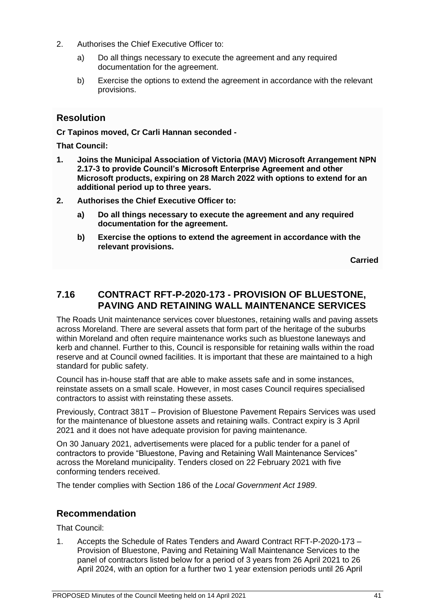- 2. Authorises the Chief Executive Officer to:
	- a) Do all things necessary to execute the agreement and any required documentation for the agreement.
	- b) Exercise the options to extend the agreement in accordance with the relevant provisions.

## **Resolution**

**Cr Tapinos moved, Cr Carli Hannan seconded -**

**That Council:**

- **1. Joins the Municipal Association of Victoria (MAV) Microsoft Arrangement NPN 2.17-3 to provide Council's Microsoft Enterprise Agreement and other Microsoft products, expiring on 28 March 2022 with options to extend for an additional period up to three years.**
- **2. Authorises the Chief Executive Officer to:**
	- **a) Do all things necessary to execute the agreement and any required documentation for the agreement.**
	- **b) Exercise the options to extend the agreement in accordance with the relevant provisions.**

**Carried**

# **7.16 CONTRACT RFT-P-2020-173 - PROVISION OF BLUESTONE, PAVING AND RETAINING WALL MAINTENANCE SERVICES**

The Roads Unit maintenance services cover bluestones, retaining walls and paving assets across Moreland. There are several assets that form part of the heritage of the suburbs within Moreland and often require maintenance works such as bluestone laneways and kerb and channel. Further to this, Council is responsible for retaining walls within the road reserve and at Council owned facilities. It is important that these are maintained to a high standard for public safety.

Council has in-house staff that are able to make assets safe and in some instances, reinstate assets on a small scale. However, in most cases Council requires specialised contractors to assist with reinstating these assets.

Previously, Contract 381T – Provision of Bluestone Pavement Repairs Services was used for the maintenance of bluestone assets and retaining walls. Contract expiry is 3 April 2021 and it does not have adequate provision for paving maintenance.

On 30 January 2021, advertisements were placed for a public tender for a panel of contractors to provide "Bluestone, Paving and Retaining Wall Maintenance Services" across the Moreland municipality. Tenders closed on 22 February 2021 with five conforming tenders received.

The tender complies with Section 186 of the *Local Government Act 1989*.

## **Recommendation**

That Council:

1. Accepts the Schedule of Rates Tenders and Award Contract RFT-P-2020-173 – Provision of Bluestone, Paving and Retaining Wall Maintenance Services to the panel of contractors listed below for a period of 3 years from 26 April 2021 to 26 April 2024, with an option for a further two 1 year extension periods until 26 April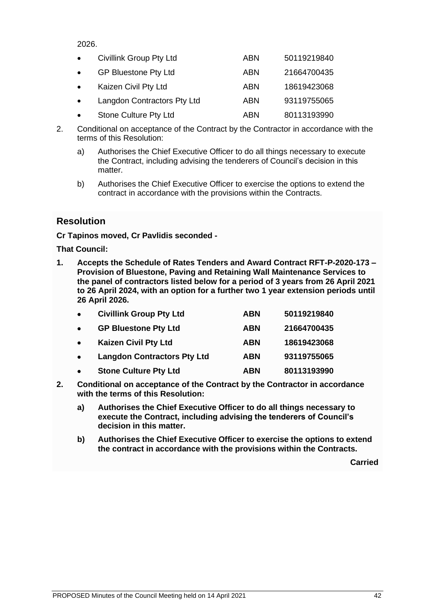2026.

| $\bullet$ | Civillink Group Pty Ltd     | ABN        | 50119219840 |
|-----------|-----------------------------|------------|-------------|
| $\bullet$ | <b>GP Bluestone Pty Ltd</b> | <b>ABN</b> | 21664700435 |
| $\bullet$ | Kaizen Civil Pty Ltd        | ABN        | 18619423068 |
| $\bullet$ | Langdon Contractors Pty Ltd | <b>ABN</b> | 93119755065 |
| $\bullet$ | Stone Culture Pty Ltd       | ABN        | 80113193990 |

- 2. Conditional on acceptance of the Contract by the Contractor in accordance with the terms of this Resolution:
	- a) Authorises the Chief Executive Officer to do all things necessary to execute the Contract, including advising the tenderers of Council's decision in this matter.
	- b) Authorises the Chief Executive Officer to exercise the options to extend the contract in accordance with the provisions within the Contracts.

# **Resolution**

**Cr Tapinos moved, Cr Pavlidis seconded -**

**That Council:**

**1. Accepts the Schedule of Rates Tenders and Award Contract RFT-P-2020-173 – Provision of Bluestone, Paving and Retaining Wall Maintenance Services to the panel of contractors listed below for a period of 3 years from 26 April 2021 to 26 April 2024, with an option for a further two 1 year extension periods until 26 April 2026.**

| $\bullet$ | <b>Civillink Group Pty Ltd</b>     | <b>ABN</b> | 50119219840 |
|-----------|------------------------------------|------------|-------------|
| $\bullet$ | <b>GP Bluestone Pty Ltd</b>        | <b>ABN</b> | 21664700435 |
| $\bullet$ | <b>Kaizen Civil Pty Ltd</b>        | <b>ABN</b> | 18619423068 |
| $\bullet$ | <b>Langdon Contractors Pty Ltd</b> | <b>ABN</b> | 93119755065 |
| $\bullet$ | <b>Stone Culture Pty Ltd</b>       | <b>ABN</b> | 80113193990 |

- **2. Conditional on acceptance of the Contract by the Contractor in accordance with the terms of this Resolution:**
	- **a) Authorises the Chief Executive Officer to do all things necessary to execute the Contract, including advising the tenderers of Council's decision in this matter.**
	- **b) Authorises the Chief Executive Officer to exercise the options to extend the contract in accordance with the provisions within the Contracts.**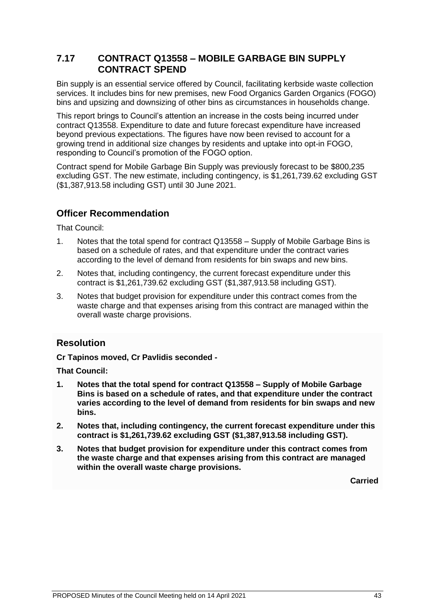# **7.17 CONTRACT Q13558 – MOBILE GARBAGE BIN SUPPLY CONTRACT SPEND**

Bin supply is an essential service offered by Council, facilitating kerbside waste collection services. It includes bins for new premises, new Food Organics Garden Organics (FOGO) bins and upsizing and downsizing of other bins as circumstances in households change.

This report brings to Council's attention an increase in the costs being incurred under contract Q13558. Expenditure to date and future forecast expenditure have increased beyond previous expectations. The figures have now been revised to account for a growing trend in additional size changes by residents and uptake into opt-in FOGO, responding to Council's promotion of the FOGO option.

Contract spend for Mobile Garbage Bin Supply was previously forecast to be \$800,235 excluding GST. The new estimate, including contingency, is \$1,261,739.62 excluding GST (\$1,387,913.58 including GST) until 30 June 2021.

# **Officer Recommendation**

That Council:

- 1. Notes that the total spend for contract Q13558 Supply of Mobile Garbage Bins is based on a schedule of rates, and that expenditure under the contract varies according to the level of demand from residents for bin swaps and new bins.
- 2. Notes that, including contingency, the current forecast expenditure under this contract is \$1,261,739.62 excluding GST (\$1,387,913.58 including GST).
- 3. Notes that budget provision for expenditure under this contract comes from the waste charge and that expenses arising from this contract are managed within the overall waste charge provisions.

# **Resolution**

**Cr Tapinos moved, Cr Pavlidis seconded -**

**That Council:**

- **1. Notes that the total spend for contract Q13558 – Supply of Mobile Garbage Bins is based on a schedule of rates, and that expenditure under the contract varies according to the level of demand from residents for bin swaps and new bins.**
- **2. Notes that, including contingency, the current forecast expenditure under this contract is \$1,261,739.62 excluding GST (\$1,387,913.58 including GST).**
- **3. Notes that budget provision for expenditure under this contract comes from the waste charge and that expenses arising from this contract are managed within the overall waste charge provisions.**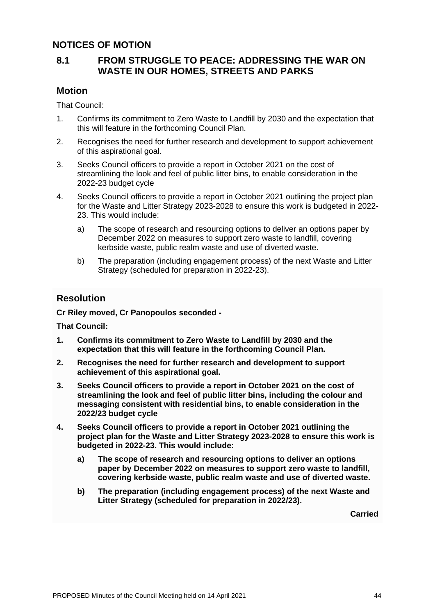## **NOTICES OF MOTION**

## **8.1 FROM STRUGGLE TO PEACE: ADDRESSING THE WAR ON WASTE IN OUR HOMES, STREETS AND PARKS**

#### **Motion**

That Council:

- 1. Confirms its commitment to Zero Waste to Landfill by 2030 and the expectation that this will feature in the forthcoming Council Plan.
- 2. Recognises the need for further research and development to support achievement of this aspirational goal.
- 3. Seeks Council officers to provide a report in October 2021 on the cost of streamlining the look and feel of public litter bins, to enable consideration in the 2022-23 budget cycle
- 4. Seeks Council officers to provide a report in October 2021 outlining the project plan for the Waste and Litter Strategy 2023-2028 to ensure this work is budgeted in 2022- 23. This would include:
	- a) The scope of research and resourcing options to deliver an options paper by December 2022 on measures to support zero waste to landfill, covering kerbside waste, public realm waste and use of diverted waste.
	- b) The preparation (including engagement process) of the next Waste and Litter Strategy (scheduled for preparation in 2022-23).

## **Resolution**

**Cr Riley moved, Cr Panopoulos seconded -**

**That Council:**

- **1. Confirms its commitment to Zero Waste to Landfill by 2030 and the expectation that this will feature in the forthcoming Council Plan.**
- **2. Recognises the need for further research and development to support achievement of this aspirational goal.**
- **3. Seeks Council officers to provide a report in October 2021 on the cost of streamlining the look and feel of public litter bins, including the colour and messaging consistent with residential bins, to enable consideration in the 2022/23 budget cycle**
- **4. Seeks Council officers to provide a report in October 2021 outlining the project plan for the Waste and Litter Strategy 2023-2028 to ensure this work is budgeted in 2022-23. This would include:**
	- **a) The scope of research and resourcing options to deliver an options paper by December 2022 on measures to support zero waste to landfill, covering kerbside waste, public realm waste and use of diverted waste.**
	- **b) The preparation (including engagement process) of the next Waste and Litter Strategy (scheduled for preparation in 2022/23).**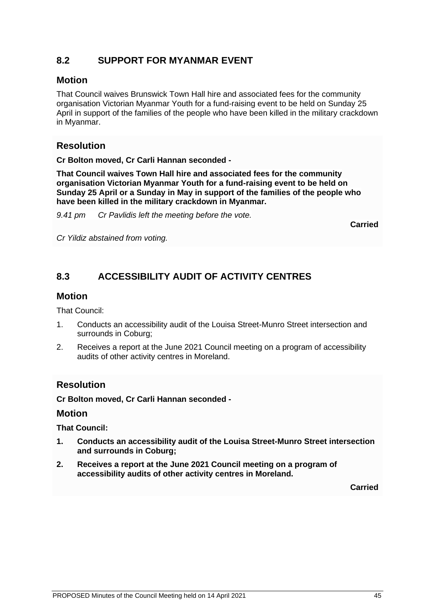# **8.2 SUPPORT FOR MYANMAR EVENT**

#### **Motion**

That Council waives Brunswick Town Hall hire and associated fees for the community organisation Victorian Myanmar Youth for a fund-raising event to be held on Sunday 25 April in support of the families of the people who have been killed in the military crackdown in Myanmar.

# **Resolution**

**Cr Bolton moved, Cr Carli Hannan seconded -**

**That Council waives Town Hall hire and associated fees for the community organisation Victorian Myanmar Youth for a fund-raising event to be held on Sunday 25 April or a Sunday in May in support of the families of the people who have been killed in the military crackdown in Myanmar.**

*9.41 pm Cr Pavlidis left the meeting before the vote.*

**Carried**

*Cr Yildiz abstained from voting.*

# **8.3 ACCESSIBILITY AUDIT OF ACTIVITY CENTRES**

#### **Motion**

That Council:

- 1. Conducts an accessibility audit of the Louisa Street-Munro Street intersection and surrounds in Coburg;
- 2. Receives a report at the June 2021 Council meeting on a program of accessibility audits of other activity centres in Moreland.

## **Resolution**

**Cr Bolton moved, Cr Carli Hannan seconded -**

#### **Motion**

**That Council:**

- **1. Conducts an accessibility audit of the Louisa Street-Munro Street intersection and surrounds in Coburg;**
- **2. Receives a report at the June 2021 Council meeting on a program of accessibility audits of other activity centres in Moreland.**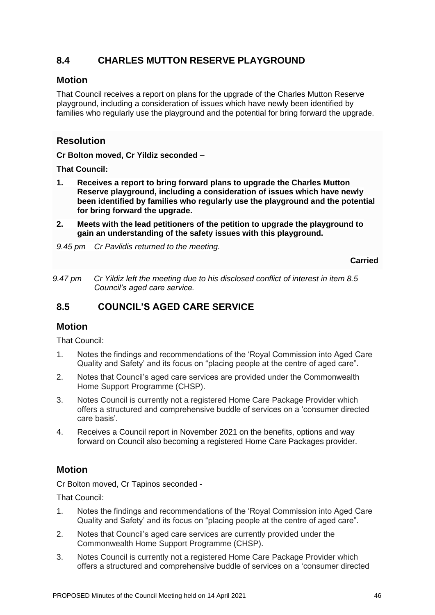# **8.4 CHARLES MUTTON RESERVE PLAYGROUND**

#### **Motion**

That Council receives a report on plans for the upgrade of the Charles Mutton Reserve playground, including a consideration of issues which have newly been identified by families who regularly use the playground and the potential for bring forward the upgrade.

# **Resolution**

**Cr Bolton moved, Cr Yildiz seconded –**

**That Council:**

- **1. Receives a report to bring forward plans to upgrade the Charles Mutton Reserve playground, including a consideration of issues which have newly been identified by families who regularly use the playground and the potential for bring forward the upgrade.**
- **2. Meets with the lead petitioners of the petition to upgrade the playground to gain an understanding of the safety issues with this playground.**
- *9.45 pm Cr Pavlidis returned to the meeting.*

**Carried**

*9.47 pm Cr Yildiz left the meeting due to his disclosed conflict of interest in item 8.5 Council's aged care service.*

# **8.5 COUNCIL'S AGED CARE SERVICE**

## **Motion**

That Council:

- 1. Notes the findings and recommendations of the 'Royal Commission into Aged Care Quality and Safety' and its focus on "placing people at the centre of aged care".
- 2. Notes that Council's aged care services are provided under the Commonwealth Home Support Programme (CHSP).
- 3. Notes Council is currently not a registered Home Care Package Provider which offers a structured and comprehensive buddle of services on a 'consumer directed care basis'.
- 4. Receives a Council report in November 2021 on the benefits, options and way forward on Council also becoming a registered Home Care Packages provider.

# **Motion**

Cr Bolton moved, Cr Tapinos seconded -

That Council:

- 1. Notes the findings and recommendations of the 'Royal Commission into Aged Care Quality and Safety' and its focus on "placing people at the centre of aged care".
- 2. Notes that Council's aged care services are currently provided under the Commonwealth Home Support Programme (CHSP).
- 3. Notes Council is currently not a registered Home Care Package Provider which offers a structured and comprehensive buddle of services on a 'consumer directed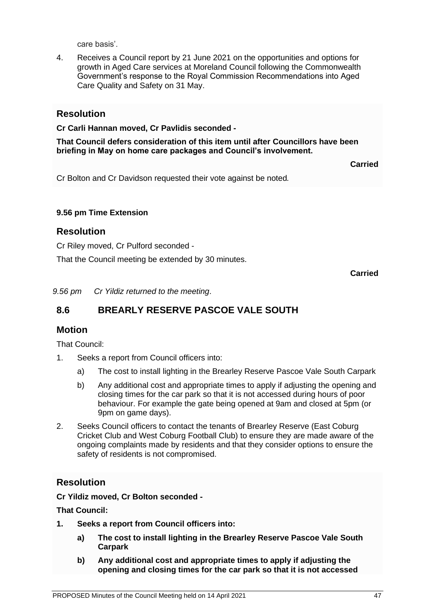care basis'.

4. Receives a Council report by 21 June 2021 on the opportunities and options for growth in Aged Care services at Moreland Council following the Commonwealth Government's response to the Royal Commission Recommendations into Aged Care Quality and Safety on 31 May.

## **Resolution**

#### **Cr Carli Hannan moved, Cr Pavlidis seconded -**

**That Council defers consideration of this item until after Councillors have been briefing in May on home care packages and Council's involvement.**

**Carried**

Cr Bolton and Cr Davidson requested their vote against be noted*.*

#### **9.56 pm Time Extension**

#### **Resolution**

Cr Riley moved, Cr Pulford seconded -

That the Council meeting be extended by 30 minutes.

**Carried**

*9.56 pm Cr Yildiz returned to the meeting*.

# **8.6 BREARLY RESERVE PASCOE VALE SOUTH**

#### **Motion**

That Council:

- 1. Seeks a report from Council officers into:
	- a) The cost to install lighting in the Brearley Reserve Pascoe Vale South Carpark
	- b) Any additional cost and appropriate times to apply if adjusting the opening and closing times for the car park so that it is not accessed during hours of poor behaviour. For example the gate being opened at 9am and closed at 5pm (or 9pm on game days).
- 2. Seeks Council officers to contact the tenants of Brearley Reserve (East Coburg Cricket Club and West Coburg Football Club) to ensure they are made aware of the ongoing complaints made by residents and that they consider options to ensure the safety of residents is not compromised.

## **Resolution**

**Cr Yildiz moved, Cr Bolton seconded -**

**That Council:**

- **1. Seeks a report from Council officers into:**
	- **a) The cost to install lighting in the Brearley Reserve Pascoe Vale South Carpark**
	- **b) Any additional cost and appropriate times to apply if adjusting the opening and closing times for the car park so that it is not accessed**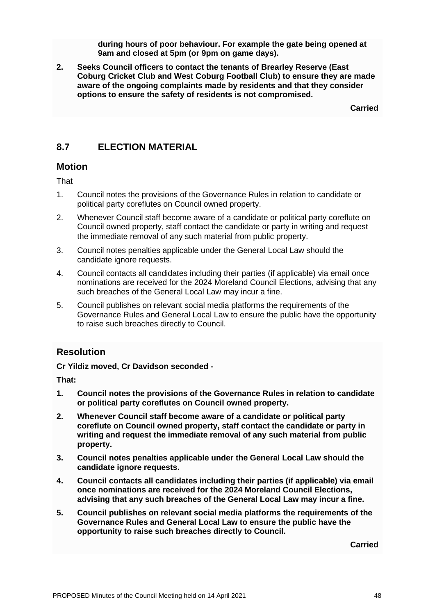**during hours of poor behaviour. For example the gate being opened at 9am and closed at 5pm (or 9pm on game days).** 

**2. Seeks Council officers to contact the tenants of Brearley Reserve (East Coburg Cricket Club and West Coburg Football Club) to ensure they are made aware of the ongoing complaints made by residents and that they consider options to ensure the safety of residents is not compromised.**

**Carried**

# **8.7 ELECTION MATERIAL**

#### **Motion**

That

- 1. Council notes the provisions of the Governance Rules in relation to candidate or political party coreflutes on Council owned property.
- 2. Whenever Council staff become aware of a candidate or political party coreflute on Council owned property, staff contact the candidate or party in writing and request the immediate removal of any such material from public property.
- 3. Council notes penalties applicable under the General Local Law should the candidate ignore requests.
- 4. Council contacts all candidates including their parties (if applicable) via email once nominations are received for the 2024 Moreland Council Elections, advising that any such breaches of the General Local Law may incur a fine.
- 5. Council publishes on relevant social media platforms the requirements of the Governance Rules and General Local Law to ensure the public have the opportunity to raise such breaches directly to Council.

## **Resolution**

**Cr Yildiz moved, Cr Davidson seconded -**

**That:**

- **1. Council notes the provisions of the Governance Rules in relation to candidate or political party coreflutes on Council owned property.**
- **2. Whenever Council staff become aware of a candidate or political party coreflute on Council owned property, staff contact the candidate or party in writing and request the immediate removal of any such material from public property.**
- **3. Council notes penalties applicable under the General Local Law should the candidate ignore requests.**
- **4. Council contacts all candidates including their parties (if applicable) via email once nominations are received for the 2024 Moreland Council Elections, advising that any such breaches of the General Local Law may incur a fine.**
- **5. Council publishes on relevant social media platforms the requirements of the Governance Rules and General Local Law to ensure the public have the opportunity to raise such breaches directly to Council.**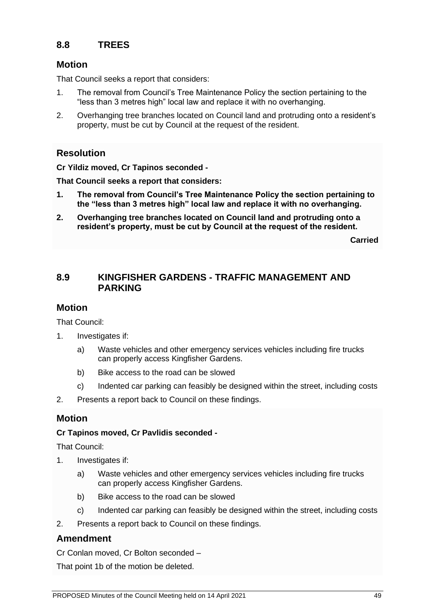# **8.8 TREES**

#### **Motion**

That Council seeks a report that considers:

- 1. The removal from Council's Tree Maintenance Policy the section pertaining to the "less than 3 metres high" local law and replace it with no overhanging.
- 2. Overhanging tree branches located on Council land and protruding onto a resident's property, must be cut by Council at the request of the resident.

## **Resolution**

**Cr Yildiz moved, Cr Tapinos seconded -**

**That Council seeks a report that considers:**

- **1. The removal from Council's Tree Maintenance Policy the section pertaining to the "less than 3 metres high" local law and replace it with no overhanging.**
- **2. Overhanging tree branches located on Council land and protruding onto a resident's property, must be cut by Council at the request of the resident.**

**Carried**

## **8.9 KINGFISHER GARDENS - TRAFFIC MANAGEMENT AND PARKING**

#### **Motion**

That Council:

- 1. Investigates if:
	- a) Waste vehicles and other emergency services vehicles including fire trucks can properly access Kingfisher Gardens.
	- b) Bike access to the road can be slowed
	- c) Indented car parking can feasibly be designed within the street, including costs
- 2. Presents a report back to Council on these findings.

## **Motion**

#### **Cr Tapinos moved, Cr Pavlidis seconded -**

That Council:

- 1. Investigates if:
	- a) Waste vehicles and other emergency services vehicles including fire trucks can properly access Kingfisher Gardens.
	- b) Bike access to the road can be slowed
	- c) Indented car parking can feasibly be designed within the street, including costs
- 2. Presents a report back to Council on these findings.

## **Amendment**

Cr Conlan moved, Cr Bolton seconded –

That point 1b of the motion be deleted.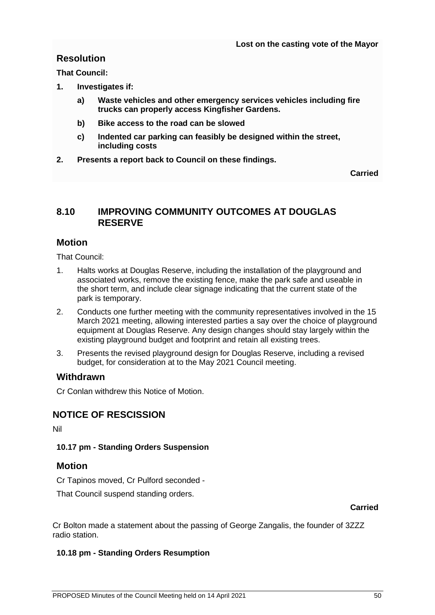# **Resolution**

**That Council:**

- **1. Investigates if:** 
	- **a) Waste vehicles and other emergency services vehicles including fire trucks can properly access Kingfisher Gardens.**
	- **b) Bike access to the road can be slowed**
	- **c) Indented car parking can feasibly be designed within the street, including costs**
- **2. Presents a report back to Council on these findings.**

**Carried**

## **8.10 IMPROVING COMMUNITY OUTCOMES AT DOUGLAS RESERVE**

## **Motion**

That Council:

- 1. Halts works at Douglas Reserve, including the installation of the playground and associated works, remove the existing fence, make the park safe and useable in the short term, and include clear signage indicating that the current state of the park is temporary.
- 2. Conducts one further meeting with the community representatives involved in the 15 March 2021 meeting, allowing interested parties a say over the choice of playground equipment at Douglas Reserve. Any design changes should stay largely within the existing playground budget and footprint and retain all existing trees.
- 3. Presents the revised playground design for Douglas Reserve, including a revised budget, for consideration at to the May 2021 Council meeting.

## **Withdrawn**

Cr Conlan withdrew this Notice of Motion.

# **NOTICE OF RESCISSION**

Nil

#### **10.17 pm - Standing Orders Suspension**

#### **Motion**

Cr Tapinos moved, Cr Pulford seconded -

That Council suspend standing orders.

**Carried**

Cr Bolton made a statement about the passing of George Zangalis, the founder of 3ZZZ radio station.

#### **10.18 pm - Standing Orders Resumption**